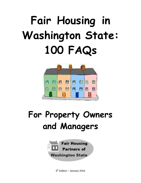# **Fair Housing in Washington State: 100 FAQs**



# **For Property Owners and Managers**



9<sup>th</sup> Edition – January 2016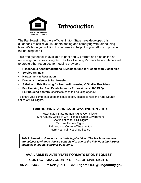

# **Introduction**

The Fair Housing Partners of Washington State have developed this guidebook to assist you in understanding and complying with fair housing laws. We hope you will find this information helpful in your efforts to provide fair housing for all.

This free guidebook is available in print and CD format and also online at [www.kingcounty.gov/civilrights.](http://www.kingcounty.gov/civilrights) The Fair Housing Partners have collaborated to create other resources for housing providers –

- **Reasonable Accommodations & Modifications for People with Disabilities**
- **Service Animals**
- **Harassment & Retaliation**
- **Domestic Violence & Fair Housing**
- **A Guide to Fair Housing for Nonprofit Housing & Shelter Providers**
- **Fair Housing for Real Estate Industry Professionals: 100 FAQs**
- **Fair housing posters** (specific to each fair housing agency)

To share your comments about this guidebook, please contact the King County Office of Civil Rights.

### FAIR HOUSING PARTNERS OF WASHINGTON STATE

Washington State Human Rights Commission King County Office of Civil Rights & Open Government Seattle Office for Civil Rights Tacoma Human Rights Fair Housing Center of Washington Northwest Fair Housing Alliance

*This information does not constitute legal advice. The fair housing laws are subject to change. Please consult with one of the Fair Housing Partner agencies if you have further questions.*

**AVAILABLE IN ALTERNATE FORMATS UPON REQUEST CONTACT KING COUNTY OFFICE OF CIVIL RIGHTS 206-263-2446 TTY Relay: 711 [Civil-Rights.OCR@kingcounty.gov](mailto:Civil-Rights.OCR@kingcounty.gov)**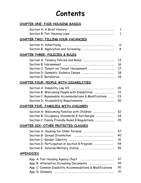# **Contents**

| CHAPTER ONE: FAIR HOUSING BASICS                         |              |
|----------------------------------------------------------|--------------|
|                                                          | $\mathbf{1}$ |
|                                                          | $\mathbf{1}$ |
| CHAPTER TWO: FILLING YOUR VACANCIES                      |              |
|                                                          | 6            |
|                                                          | 8            |
| CHAPTER THREE: POLICIES & RULES                          |              |
|                                                          | 13           |
|                                                          | 16           |
|                                                          | 17           |
|                                                          | 18           |
|                                                          | 19           |
| CHAPTER FOUR: PEOPLE WITH DISABILITIES                   |              |
|                                                          | 20           |
| Section B: Welcoming People with Disabilities            | 21           |
| Section C: Reasonable Accommodations & Modifications     | 23           |
|                                                          | 30           |
| <u>CHAPTER FIVE: FAMILIES WITH CHILDREN</u>              |              |
|                                                          | 32           |
|                                                          | 34           |
| Section C: Family Friendly Rules & Regulations           | 35           |
| CHAPTER SIX: OTHER PROTECTED CLASSES                     |              |
|                                                          | 37           |
|                                                          | 40           |
|                                                          | 41           |
| Section D: Participation in Section 8 Program            | 44           |
|                                                          | 45           |
| <b>APPENDICES</b>                                        |              |
|                                                          | 47           |
|                                                          | 49           |
| App. C: Common Disability Accommodations & Modifications | 50           |
|                                                          | 51           |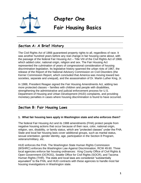

# **Chapter One**

# **Fair Housing Basics**

# **Section A: A Brief History**

The Civil Rights Act of 1866 guaranteed property rights to all, regardless of race. It was another hundred years before any real change in fair housing came about, with the passage of the federal Fair Housing Act – Title VIII of the Civil Rights Act of 1968, which added color, national origin, religion and sex. The Fair Housing Act represented the culmination of years of congressional consideration of housing discrimination legislation. Its legislative history spanned the urban riots of 1967, the release of the Report of the National Advisory Commission on Civil Disorders (the Kerner Commission Report, which concluded that America was moving toward two societies, separate and unequal), and the assassination of Dr. Martin Luther King, Jr.

In 1988, President Reagan signed the Fair Housing Amendments Act, adding two more protected classes – families with children and people with disabilities, strengthening the administrative and judicial enforcement process for U.S. Department of Housing and Urban Development (HUD) complaints, and providing monetary penalties in cases where housing discrimination is found to have occurred.

# **Section B: Fair Housing Laws**

#### **1. What fair housing laws apply in Washington state and who enforces them?**

The federal Fair Housing Act and its 1988 amendments (FHA) protect people from negative housing actions that occur because of their race, color, national origin, religion, sex, disability, or family status, which are "protected classes" under the FHA. State and local fair housing laws cover additional groups, such as marital status, sexual orientation, gender identity, age, participation in the Section 8 Program, veterans/military, etc.

HUD enforces the FHA. The Washington State Human Rights Commission (WSHRC) enforces the Washington Law Against Discrimination, RCW 49.60. Three local agencies enforce fair housing ordinances: King County Office of Civil Rights & Open Government (OCROG), Seattle Office for Civil Rights (SOCR), and Tacoma Human Rights (THR). The state and local laws are considered "substantially equivalent" to the FHA, and HUD contracts with these agencies to handle most fair housing investigations in Washington state.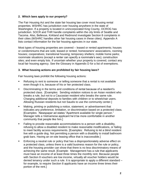#### **2. Which laws apply to our property?**

The Fair Housing Act and the state fair housing law cover most housing rental properties. WSHRC has jurisdiction over housing anywhere in the state of Washington. If a property is located in unincorporated King County, OCROG has jurisdiction. SOCR and THR handle complaints within the city limits of Seattle and Tacoma. Also, Bellevue, Kirkland and Redmond investigate Section 8 complaints in their cities (WSHRC handles other fair housing cases in these cities). Appendix A lists contact information for the fair housing agencies in our state.

Most types of housing properties are covered – leased or rented apartments; houses or condominiums that are sold, leased or rented; homeowners' associations, rooming houses; cooperatives; transitional housing; temporary shelters; mobile home parks; roommate situations (except a renter can specify a roommate's sex); construction sites; and even empty lots. If uncertain whether your property is covered, contact any local fair housing agency. See the Glossary in Appendix D for a list of exemptions.

#### **3. What housing actions are prohibited by fair housing laws?**

Fair housing laws prohibit the following housing actions:

- Refusing to rent to someone or telling someone that a rental is not available even though it is, because of his or her protected class.
- Discriminating in the terms and conditions of rental because of a resident's protected class. [Examples: Sending violation notices to an Asian resident who breaks a rule, but not to a Caucasian resident who breaks the same rule. Charging additional deposits to families with children or to wheelchair users. Allowing Russian residents but not Saudis to use the community center.]
- **Making, printing or publishing a notice, statement, or advertisement that** indicates any preference, limitation, or discrimination based on a protected class. [Examples: Newspaper ad states "Apartment available for single person." Manager tells a Vietnamese applicant he'd be more comfortable in another community that people like him.]
- **Failing to provide reasonable accommodations to a person with a disability,** refusing to allow a disabled resident to make reasonable modifications, or failing to meet facility access requirements. [Examples: Refusing to let a blind resident live with a guide dog. Not permitting a person with a disability to install bathroom grab bars. Having an on-site leasing office that is inaccessible.]
- **Enforcing a neutral rule or policy that has a disproportionately adverse effect on** a protected class, unless there is a valid business reason for the rule or policy, and the housing provider can show that there is no less discriminatory means of achieving the same result. [Example: Management has a rule that applicants must have an income of at least three times the monthly rent. Because people with Section 8 vouchers are low income, virtually all voucher holders would be denied tenancy under such a rule. It is appropriate to apply a different standard – for example, to require Section 8 applicants have an income three times their portion of the rent.]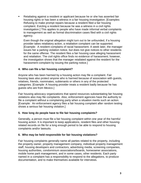Retaliating against a resident or applicant because he or she has asserted fair housing rights or has been a witness in a fair housing investigation. [Examples: Refusing to make prompt repairs because a resident filed a fair housing complaint. Evicting a resident because he was a witness in a civil rights investigation.] This applies to people who have made informal verbal complaints to management as well as formal discrimination cases filed with a civil rights agency.

Even though the original allegation might turn out to be unfounded, if a housing provider takes retaliatory action, a retaliation complaint can be supported. [Example: A resident complains of racial harassment. A week later, the manager issues her a parking violation notice, but does not give notices to other residents for the same offense. The resident files a fair housing case alleging harassment and retaliation. The civil rights office finds no evidence of harassment; however, the investigation shows that the manager retaliated against the resident for the harassment complaint by issuing the parking notice.]

#### **4. Who can file a fair housing complaint?**

Anyone who has been harmed by a housing action may file a complaint. Fair housing laws also protect anyone who is harmed because of association with guests, relatives, friends, roommates, subtenants or others in any of the protected categories. [Example: A housing provider treats a resident badly because he has guests who are from Mexico.]

Fair housing advocacy organizations that spend resources substantiating fair housing violations also may file complaints. Also, enforcement agencies have the authority to file a complaint without a complaining party when a situation merits such an action. [Example: An enforcement agency files a fair housing complaint after random testing shows a serious fair housing violation.]

#### **5. How long do people have to file fair housing complaints?**

Generally, a person must file a fair housing complaint within one year of the harmful housing action. It is important to keep applications, resident files and other housingrelated records on file for a long enough period to be able to respond to housing complaints and/or lawsuits.

#### **6. Who may be held responsible for fair housing violations?**

Fair housing complaints generally name all parties related to the property, including the property owner, property management company, individual property management staff, housing developers and contractors, advertising media, screening companies, housing authorities, condominium associations/boards, homeowner associations, mobile home park management, and in some cases, other residents. Each party named in a complaint has a responsibility to respond to the allegations, to produce documentation, and to make themselves available for interviews.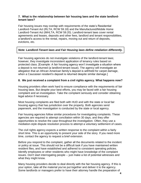#### **7. What is the relationship between fair housing laws and the state landlordtenant laws?**

Fair housing issues may overlap with requirements of the state's Residential Landlord-Tenant Act (RLTA, RCW 59.18) and the Manufactured/Mobile Home Landlord-Tenant Act (MHLTA, RCW 59.20). Landlord-tenant laws cover rental agreements and leases, deposits and other fees, landlord and tenant responsibilities, a landlord's access to the rental, repairs, moving out and return of deposits, evictions, etc.

#### *Note: Landlord-Tenant laws and Fair Housing laws define retaliation differently.*

Fair housing agencies do not investigate violations of the landlord-tenant laws; however, they investigate inconsistent application of tenancy rules based on protected class. [Example: A fair housing agency won't investigate a situation where a deposit is not returned (a landlord-tenant issue). The agency will investigate an allegation that an African American family's deposit is withheld for carpet damage, when a Caucasian resident's deposit is returned despite similar damage.]

#### **8. We just received a complaint from a civil rights agency. What happens now?**

Housing providers often work hard to ensure compliance with the requirements of fair housing laws. But despite your best efforts, you may be faced with a fair housing complaint and an investigation. Take the complaint seriously and consider obtaining legal advice if necessary.

Most housing complaints are filed both with HUD and with the state or local fair housing agency that has jurisdiction over the property. Both agencies send paperwork, and the investigation is conducted by the state or local agency.

Fair housing agencies follow similar procedures for investigating complaints. These agencies are required to attempt conciliation within 30 days, and they offer opportunities to resolve the case throughout the investigation. Often, they use a mediation-style dispute resolution process to attempt a voluntary settlement of cases.

The civil rights agency expects a written response to the complaint within a fairly short time. This is an opportunity to present your side of the story. If you need more time, contact the agency to request a brief extension.

Before you respond to the complaint, gather all the documents related to the incident or policy at issue. This should not be a difficult task if you have maintained written resident files, and have established and adhered to consistent operating policies. Identify employees or other residents who might have knowledge of the complaint issues. Don't start interrogating people -- just make a list of potential witnesses and what they might know.

Many housing providers decide to deal directly with the fair housing agency. If this is your option, take all the material you've put together and deliver it to the agency. Some landlords or managers prefer to have their attorney handle the preparation of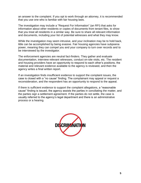an answer to the complaint. If you opt to work through an attorney, it is recommended that you use one who is familiar with fair housing laws.

The investigation may include a "Request For Information" (an RFI) that asks for information about other residents or copies of documents from tenant files, to show that you treat all residents in a similar way. Be sure to share all relevant information and documents, including your list of potential witnesses and what they may know.

While the investigation may seem intrusive, and your inclination may be to hold back, little can be accomplished by being evasive. Fair housing agencies have subpoena power, meaning they can compel you and your company to turn over records and to be interviewed by the investigator.

The enforcement agencies are neutral fact-finders. They gather and evaluate documentation, interview relevant witnesses, conduct on-site visits, etc. The resident and housing providers have an opportunity to respond to each other's positions, the material and relevant evidence available to the agency is reviewed, and then the agency writes a final written report.

If an investigation finds insufficient evidence to support the complaint issues, the case is closed with a "no cause" finding. The complainant may appeal or request a reconsideration, and the respondent has an opportunity to respond to the appeal.

If there is sufficient evidence to support the complaint allegations, a "reasonable cause" finding is issued, the agency assists the parties in conciliating the matter, and the parties sign a settlement agreement. If the parties do not settle, the case is usually referred to the agency's legal department and there is an administrative process or a hearing.

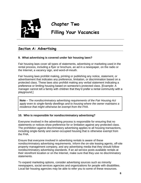

**Chapter Two**

# **Filling Your Vacancies**

# **Section A: Advertising**

#### **9. What advertising is covered under fair housing laws?**

Fair housing laws cover all types of statements, advertising or marketing used in the rental process, including a flyer or brochure, an ad in a newspaper, on the radio or the Internet, a vacancy sign, and word-of-mouth.

Fair housing laws prohibit making, printing or publishing any notice, statement, or advertisement that indicates any preference, limitation, or discrimination based on a protected class. These laws also prohibit making any verbal statement indicating a preference or limiting housing based on someone's protected class. [Example: A manager cannot tell a family with children that they'd prefer a rental community with a playground.]

**Note** – *The nondiscriminatory advertising requirements of the Fair Housing Act apply even to single-family dwellings and to housing where the owner maintains a residence that might otherwise be exempt from the FHA.*

#### **10. Who is responsible for nondiscriminatory advertising?**

Everyone involved in the advertising process is responsible for ensuring that no statements or notices show preference for or limitation against any protected class. The prohibition against discriminatory advertising applies to all housing transactions, including single-family and owner-occupied housing that is otherwise exempt from the FHA.

Ensure that everyone involved in advertising rentals is aware of these nondiscriminatory advertising requirements. Inform the on-site leasing agents, off-site property management company, and any advertising media that they should follow nondiscriminatory advertising standards. If an ad service posts available rentals at their storefront location or on the Internet, make sure that they use no discriminatory statements.

To expand marketing options, consider advertising sources such as minority newspapers, social services agencies and organizations for people with disabilities. Local fair housing agencies may be able to refer you to some of these resources.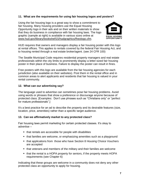#### **11. What are the requirements for using fair housing logos and posters?**

Using the fair housing logo is a great way to show a commitment to fair housing. Many housing providers use the Equal Housing Opportunity logo in their ads and on their written materials to show that they do business in compliance with fair housing laws. The logo graphic (sample at right) is available in various sizes online at [www.hud.gov/library/bookshelf15/hudgraphics/fheologo.cfm.](http://www.hud.gov/library/bookshelf15/hudgraphics/fheologo.cfm.)



HUD requires that owners and managers display a fair housing poster with this logo at rental offices. This applies to rentals covered by the federal Fair Housing Act, and to housing rented through a real estate broker/agent. (see 24 CFR 100)

The Seattle Municipal Code requires residential property managers and real estate professionals within the city limits to prominently display a letter-sized fair housing poster in their place of business. Failure to display the poster can result in fines.

Free posters with this logo are available from the fair housing agencies for each jurisdiction (also available on their websites). Post them in the rental office and in common areas to alert applicants and residents that fair housing is valued in your rental community.

#### **12. What can our advertising say?**

The language used to advertise can sometimes pose fair housing problems. Avoid using words or phrases that show a preference or discourage anyone because of protected class. [Examples: Don't use phrases such as "Christians only" or "perfect for mature professionals".]

It's a best practice for an ad to describe the property and its desirable features (size, location, price, amenities) rather than a specific target audience.

#### **13. Can we affirmatively market to any protected class?**

Fair housing laws permit marketing for certain protected classes. It's okay to advertise –

- that rentals are accessible for people with disabilities
- that families are welcome, or emphasizing amenities such as a playground
- that applications from those who have Section 8 Housing Choice Vouchers are accepted
- that veterans and members of the military and their families are welcome
- that the rental is a HOPA property for seniors, if the property meets HOPA requirements (see Chapter 6)

Indicating that these groups are welcome in a community does not deny any other protected class an opportunity to apply for housing.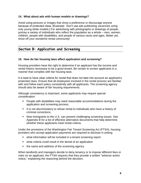#### **14. What about ads with human models or drawings?**

Avoid using pictures or images that show a preference or discourage anyone because of protected class. [Example: Don't use ads publicizing vacancies using only young white models.] For advertising with photographs or drawings of people, portray a variety of individuals who reflect the population as a whole – men, women, children, people with disabilities, and people of various races and ages. Better yet, show off your wonderful rental community!

# **Section B: Application and Screening**

#### **15. How do fair housing laws affect application and screening?**

Housing providers have the right to determine if an applicant has the income and rental history necessary to be a good tenant. Be certain to screen applicants in a manner that complies with fair housing laws.

It is best to have clear criteria for rental that does not take into account an applicant's protected class. Ensure that all employees involved in the rental process are familiar with and follow each policy consistently with all applicants. The screening agency should also be aware of fair housing requirements.

Although consistency is important, some applicants may require special consideration:

- People with disabilities may need reasonable accommodations during the application and screening process.
- It is not discriminatory to refuse rental to individuals who have a history of criminal convictions.
- New immigrants to the U.S. can present challenging screening issues. See Appendix B for a list of effective alternative documents that help determine whether these applicants meet rental criteria.

Under the provisions of the Washington Fair Tenant Screening Act (FTSA), housing providers who accept application payments are required to disclose in writing:

- what information will be included in a tenant screening report
- what criteria could result in the denial of an application
- the name and address of the screening agency

When landlords and managers decide to deny tenancy or to impose different fees or rules on an applicant, the FTSA requires that they provide a written "adverse action notice," explaining the reasoning behind the decision.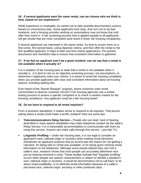#### **16. If several applicants want the same rental, can we choose who we think is best, based on our experience?**

While experience is invaluable, be careful not to take possible discriminatory actions based on unconscious bias. Some applicants look okay, then turn out to be bad residents, and a housing provider working on assumptions may not know that until after they move in. A fair screening process that is applied equally to all applicants will get results that are more consistent (and result in fewer fair housing complaints).

If several applicants are interested in the same rental, it's best to screen them on a first-come, first-served basis, using objective criteria, and then offer the rental to the first qualified applicant. It helps to date and time-stamp applications. Pre-printed documents and checklists help to ensure that consistent information is gathered.

#### **17. If we feel an applicant won't be a good resident, can we say that a rental is not available when it actually is?**

It is a violation of fair housing laws to state that a rental is not available when it actually is. It is best to rely on an objective screening process, not assumptions, to determine if applicants meet your criteria. It is easier to avoid fair housing complaints when you provide applicants with clear and consistent information about all housing options, including waiting lists.

Ever heard of the "Secret Shopper" program, where someone visits rental communities to observe customer service? Fair housing agencies use a similar testing process to assess a specific complaint or to check a random market for fair housing compliance. Any applicant could be a fair housing tester!

#### **18. Do we have to respond to all rental inquiries?**

From a business standpoint, it makes sense to respond to all inquiries. That person asking about a rental could make a terrific resident! Here are some tips:

- **Telecommunications Relay Service –** People who are deaf, hard of hearing, deaf-blind or have speech disabilities may make telephone contact via the state's Relay Service. It is a reasonable accommodation to communicate with them by using this service. Anyone can make calls through this service – just dial 711.
- **Linguistic Profiling –** Under fair housing laws, it is not legal to consider an applicant's race, national origin or ancestry when making rental decisions. Sometimes an applicant suspects that an accent was the reason for not getting a call-back, for being told no rental was available, or for being given minimal rental information on the telephone. Although some people believe they can't tell a caller's race, research shows that most people can accurately determine race just by hearing someone's voice. These studies indicate that "linguistic profiling" occurs when people use speech characteristics or dialect to identify a speaker's race, national origin or ancestry. It would be discriminatory not to call back, to lie about rental availability, or to withhold rental information because of a caller's perceived race, national origin, ancestry or other protected class.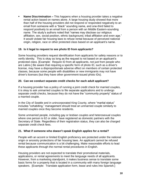**Name Discrimination –** This happens when a housing provider takes a negative rental action based on names alone. A large housing study showed that more than half of the housing providers did not respond or responded negatively to an email from someone with a "black" sounding name, and one-third failed to respond positively to an email from a person with an Middle Eastern-sounding name. The study's authors noted that "names may disclose our religious affiliation, sex, social position, ethnic background, tribal affiliation and even age." It would violate fair housing laws to refuse rental because of perceived national origin, religion, race or other protected class based on an applicant's name.

#### **19. Is it legal to request to see photo ID from applicants?**

Some housing providers request identification from applicants for safety reasons or to verify identity. This is okay as long as the request is not based on an applicant's protected class. [Example: Require ID from all applicants, not just from people who are Latino.] Be aware that requiring a specific form of photo ID, such as a driver's license, may have a disproportionate adverse effect on members of certain protected classes, because some people with disabilities or new immigrants may not have driver's licenses (but they have other government-issued photo IDs).

#### **20. Can we conduct separate credit checks for each adult applicant?**

If a housing provider has a policy of running a joint credit check for married couples, it is okay to ask unmarried couples to file separate applications and to undergo separate credit checks, because they do not have the "community property" status of a married couple.

In the City of Seattle and in unincorporated King County, where "marital status" includes "cohabiting," management should treat an unmarried couple similarly to married couples once they become residents.

Some unmarried people, including gay or lesbian couples and heterosexual couples where one person is 62 or older, have registered as domestic partners with the Secretary of State. Regardless of their registration status, they can also be charged separate credit check fees.

#### **21. What if someone who doesn't speak English applies for a rental?**

People with an accent or limited English proficiency are protected under the national origin or ancestry protections of fair housing laws. An applicant cannot be refused rental because communication is a bit challenging. Make reasonable efforts to lead these applicants through the normal rental procedures in English.

Housing providers are not expected to translate their promotional materials, applications, or rental agreements to meet the language needs of all applicants. However, from a marketing standpoint, it makes business sense to translate some basic forms for a property that is located in a community with many foreign language speakers. [Example: Translate application form, lease and rules into Spanish.]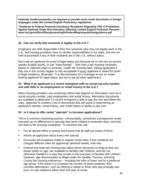*Federally funded properties are required to provide some rental documents in foreign languages under the Limited English Proficiency regulations.* 

**"Guidance to Federal Financial Assistance Recipients Regarding Title VI Prohibition Against National Origin Discrimination Affecting Limited English Proficient Persons", www.hud.gov/offices/fheo/promotingfh/FederalRegistepublishedguidance.pdf**

#### **22. Can we verify that someone is legally in the U.S.?**

Employers are held responsible if they hire someone who may not legally work in the U.S., but housing providers have no similar responsibilities in our state, and are not held accountable if any of their residents are in the U.S. without status.

Don't ask an applicant for proof of legal status just because he or she has an accent, speaks English poorly, or just "looks foreign" – that risks a fair housing complaint based on national origin or ancestry. Under fair housing laws, asking applicants if they are in the country legally is only acceptable if every applicant is asked for proof of legal residency. [Example: It is discriminatory for a manager to ask an Asianlooking applicant for legal status, but not to ask all other applicants.]

#### **23. What if an applicant is a recent immigrant with no social security number, and with little or no employment or rental history in the U.S.?**

Many housing providers use screening criteria that depend on information such as a social security number, past employment and rental history. Alternative documents are available to determine if a recent immigrant is able to pay the rent and follow the rules. Appendix B contains a list of documents that will assist in determining an applicant's identity, rental history, and credit history or ability to pay rent.

#### **24. Is it okay to offer rental "specials" to increase applications?**

This is a common marketing practice. Unfortunately, sometimes a prospective renter may pick up on differences in specials that seem related to protected class, and that can lead to fair housing complaints. To minimize this risk:

- Put all special offers in writing and ensure that all staff are aware of them.
- Advise all applicants about every rent special.
- Document all exceptions made to regular rental rates. If two residents are charged different rates for apparently identical rentals, note why.
- Federal and state fair housing laws allow senior discounts so long as they are based solely on age, are available to families with children, and are not otherwise handled in a way that results in the exclusion of families with children. However, age discrimination is illegal under the Seattle, Tacoma, and King County fair housing ordinances – including the offer of lower rent to a preferred age group. If the intent is to increase the number of good residents, then consider alternatives, such as offering a rebate to those who pay promptly and incur no rule violations within their first year of rental.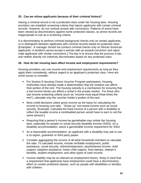#### **25. Can we refuse applicants because of their criminal history?**

Having a criminal record is not a protected class under fair housing laws. Housing providers can establish screening criteria that rejects applicants with certain criminal records. However, do not confuse arrests with convictions. Patterns of arrest have been viewed as discriminatory against some protected classes, so arrest records are inappropriate to use as a screening criteria.

It is discriminatory to perform criminal background checks only on certain applicants, or to distinguish between applicants with criminal records based on protected class. [Examples: A manager should not conduct criminal checks only on African American applicants. A landlord cannot accept a woman with an assault conviction and reject male applicants with similar convictions.] The key is to ensure that the process is fair, and neither directly nor indirectly discriminates based on any protected class.

#### **26. How do fair housing laws affect income and employment requirements?**

Housing providers can use income and employment requirements as long as they apply them consistently, without regard to an applicant's protected class. Here are some issues to consider:

- For Section 8 Housing Choice Voucher Program participants, Housing Authorities have already made a determination that the resident can afford their portion of the rent. The housing subsidy is a mechanism for ensuring that a low-income family can afford a rental in the private market. For those who use income screening criteria (such as "income must equal three times the rent"), calculate only the voucher holder's portion of the rent.
- Most credit decisions utilize gross income as the basis for calculating the income to housing cost ratio. "Gross up" non-taxed income such as social security. [Example: Calculate the fixed income of a person with a disability to reflect the taxable income a nondisabled person would have to earn to net the same amount.]
- Requiring that a person's income be garnishable may violate fair housing laws, especially for people on social security disability income (SSDI). As a disability accommodation, waive a garnishable income requirement for SSDI.
- As a reasonable accommodation, an applicant with a disability may ask to use a co-signer, guarantor or third party payee.
- Consider aggregating the income of all adult household members to calculate the ratio. To calculate income, include verifiable employment, public assistance, social security, retirement/pension, asset/interest income, child support, adoption assistance, foster child support, food stamps, veteran's benefits, student employment, and other types of cash income.
- Income stability may be as relevant as employment history. Keep in mind that a requirement that applicants have employment could have a discriminatory effect on certain protected classes, such as people with disabilities or families with children.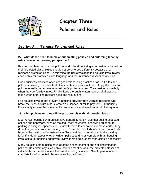

# **Chapter Three**

# **Policies and Rules**

# **Section A: Tenancy Policies and Rules**

#### **27. What do we need to know about creating policies and enforcing tenancy rules, from a fair housing perspective?**

Fair housing laws require that policies and rules do not single out residents based on their protected class. Rules should not be enforced differently because of a resident's protected class. To minimize the risk of violating fair housing laws, review each policy for protected class language and for unintended discriminatory bias.

Good business practices often are good fair housing practices, too. Put rules and policies in writing to ensure that all residents are aware of them. Apply the rules and policies equally, regardless of a resident's protected class. Treat residents similarly when they don't follow rules. Finally, keep thorough written records of all actions taken when enforcing resident rules and regulations.

Fair housing laws do not prevent a housing provider from warning residents who break the rules, disturb others, create a nuisance, or fail to pay rent. Fair housing laws simply require that a resident's protected class doesn't enter into the equation.

#### **28. What policies or rules will help us comply with fair housing laws?**

Most rental housing communities have general tenancy rules that outline expected actions and behaviors, such as making timely payments, observing quiet hours, parking in assigned spaces, etc. Review these rules or policies to make certain they do not target any protected class group. [Example: Don't state "children cannot ride bikes in the parking lot" – instead, say "bicycle riding is not allowed in the parking lot".] If in doubt about whether written policies and rules comply with fair housing laws, ask a fair housing agency to review them and suggest rephrasing if necessary.

Many housing communities have adopted antiharassment and antidiscrimination policies. Be certain any such policy includes mention of all the protected classes of individuals for the area where the rental housing is located. See Appendix A for a complete list of protected classes in each jurisdiction.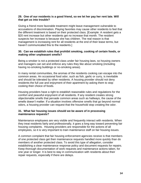#### **29. One of our residents is a good friend, so we let her pay her rent late. Will that get us into trouble?**

Giving a friend more favorable treatment might leave management vulnerable to accusations of discrimination. Playing favorites may cause other residents to feel that the different treatment is based on their protected class. [Example: A resident gets a \$20 rent increase but other residents get no increase that month. The resident suspects her increase is because she has children. The real reason is that management is increasing rent for all residents at the end of their lease terms, but haven't communicated this to the residents.]

#### **30. Can we establish rules that prohibit smoking, cooking of certain foods, or making other unpleasant smells?**

Being a smoker is not a protected class under fair housing laws, so housing owners and managers can set and enforce any rules they like about smoking (including having no-smoking buildings or no-smoking areas).

In many rental communities, the aromas of the residents cooking can escape into the common areas. An occasional food odor, such as fish, garlic or curry, is inevitable and should be tolerated by other residents. A housing provider should not deny residents the full use and enjoyment of their apartment by asking them to stop cooking their choice of foods.

Housing providers have a right to establish reasonable rules and regulations for the comfort and peaceful enjoyment of all residents. If any resident creates strong objectionable smells that pervade common areas such as hallways, the cause of the smells doesn't matter. If a situation involves offensive smells that go beyond normal odors, a housing provider can request that the household stop creating the odor.

#### **31. What fair housing issues should we be aware of in processing maintenance requests?**

Maintenance employees are very visible and frequently interact with residents. When they treat residents fairly and professionally, it goes a long way toward preventing fair housing complaints. Housing providers are responsible for the actions of all employees, so it is very important to train maintenance staff on fair housing issues.

A common complaint that fair housing enforcement agencies receive is that members of one protected class get their maintenance requests handled more quickly than do members of another protected class. To avoid this type of allegation, consider establishing a clear maintenance response policy and document requests for repairs. Keep thorough documentation of work requests and maintenance actions taken, for one year or longer. It is best to stay in communication with residents about their repair requests, especially if there are delays.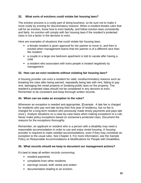#### **32. What sorts of evictions could violate fair housing laws?**

The eviction process is a costly part of doing business, so be sure not to make it more costly by evicting for discriminatory reasons. When a resident breaks rules that call for an eviction, know how to evict lawfully, and follow eviction laws consistently and fairly. An eviction will comply with fair housing laws if the resident's protected class is not a factor in the decision to evict.

Here are examples of situations that could violate fair housing laws:

- a female resident is given approval for her partner to move in, and then is evicted when management learns that her partner is of a different race than the resident
- a couple in a large one bedroom apartment is told to vacate after having a child
- a resident who associates with trans people is treated negatively by management.

#### **33. How can we evict residents without violating fair housing laws?**

A housing provider can evict a resident for valid, nondiscriminatory reasons such as breaking the rules after being warned, repeatedly being late with rent, failing to pay rent, damaging the rental property or breaking public laws on the property. The resident's protected class should not be considered in any decision to evict. Remember to be consistent and keep thorough written records.

#### **34. When can we make an exception to the rules?**

Whenever an exception is needed and appropriate. [Example: A late fee is charged for residents who pay rent late during their first year of residency, but no fee is charged for a long-term resident who previously made timely payments and pays late once.] Analyze situations on a case-by-case basis when making exceptions to a rule. Never make policy exceptions based on someone's protected class. Document the reasons for the exceptions thoroughly.

Remember, an applicant or resident who is a person with a disability may need a reasonable accommodation in order to use and enjoy rental housing. A housing provider is required to make needed accommodations, even if they may constitute an exception to the usual rules. See Chapter 4. For more information, see the Sample Policy on Reasonable Accommodations & Modifications for People with Disabilities.

#### **35. What records should we keep to document our management actions?**

It's best to keep all written records concerning:

- $\blacksquare$  resident payments
- complaints from other residents
- warnings issued, both verbal and written
- **-** documentation leading to an eviction.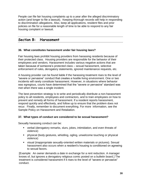People can file fair housing complaints up to a year after the alleged discriminatory action (and longer to file a lawsuit). Keeping thorough records will help in responding to discrimination allegations. Also, keep all applications, resident files and prior policies on file for a reasonable length of time to be able to respond to any fair housing complaint or lawsuit.

### **Section B: Harassment**

#### **36. What constitutes harassment under fair housing laws?**

Fair housing laws prohibit housing providers from harassing residents because of their protected class. Housing providers are responsible for the behavior of their employees and vendors. Harassment includes various negative actions that are taken because of someone's protected class – sexual harassment, selective enforcement of rules, derogatory statements, ignored maintenance requests, etc.

A housing provider can be found liable if the harassing treatment rises to the level of "severe or pervasive" conduct that creates a hostile living environment. One or two incidents will rarely constitute harassment. However, in situations where behavior was egregious, courts have determined that the "severe or pervasive" standard was met when there was a single incident.

The best prevention strategy is to write and periodically distribute a non-harassment policy to all residents, employees and contractors, and to train employees on how to prevent and remedy all forms of harassment. If a resident reports harassment, respond quickly and effectively, and follow up to ensure that the problem does not recur. Finally, remember to document everything. For more information, see the Sample Policy on Harassment and Retaliation.

#### **37. What types of conduct are considered to be sexual harassment?**

Sexually harassing conduct can be:

- verbal (derogatory remarks, slurs, jokes, intimidation, and even threats of violence)
- physical (body gestures, whistling, ogling, unwelcome touching or physical violence)
- visual (inappropriate sexually-oriented written materials or pictures). Sexual harassment also occurs when a resident's housing is conditioned on agreeing to sexual favors.

[Example: An owner demands a date in exchange for a rent reduction. A manager knows of, but ignores a derogatory religious comic posted on a bulletin board.] The treatment is considered harassment if it rises to the level of "severe or pervasive" conduct.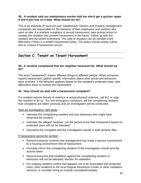#### **38. A resident said our maintenance worker told her she'd get a quicker repair if she'd join him on a date. What should we do?**

This is an example of "quid pro quo" harassment. Owners and property management companies are responsible for the behavior of their employees and vendors who work on-site. If a resident complains of sexual harassment, take prompt action to remedy the situation and prevent harassment in the future. Follow up with the resident and document everything. This type of situation can be handled more effectively if there is a written harassment policy. The policy should clearly outline who to contact if harassment occurs.

# **Section C: Tenant on Tenant Harassment**

#### **39. A resident complained that her neighbor harassed her. What should we do?**

The word "harassment" means different things to different people. When someone reports harassment, gather specific information about what words and behaviors were involved. If the behavior appears based on the resident's protected class, take affirmative steps to remedy the harassment.

#### **40. How should we deal with a harassment complaint?**

If a resident reports threats of violence or actual physical violence, call 911 or urge the resident to do so. For non-emergency situations, tell the complaining resident that complaints are taken seriously and an investigation will be conducted.

#### Start an investigation right away –

- Interview the complaining resident and any witnesses who might have observed the incident.
- Interview the alleged harasser. Let the person know that harassment based on protected class will not be tolerated.
- Document the complaint and the investigation results in both tenants' files.

#### If harassment cannot be verified –

- Remind everyone involved that management has made a serious commitment to a housing environment free of harassment.
- Promptly inform the complaining resident of the investigation results and the actions taken.
- Remind everyone that retaliation against the complaining resident or witnesses will not be tolerated. Monitor for retaliation.
- For ongoing resident conflict that appears not to be associated with protected class, refer residents to the local Dispute Resolution Center or other mediation services, or consider hiring an outside consultant/mediator.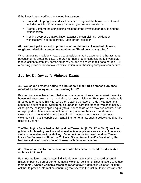If the investigation verifies the alleged harassment –

- Proceed with progressive disciplinary action against the harasser, up to and including eviction if necessary for ongoing or serious violations.
- Promptly inform the complaining resident of the investigation results and the actions taken.
- Remind everyone that retaliation against the complaining resident or witnesses will not be tolerated. Monitor for retaliation.

#### **41. We don't get involved in private resident disputes. A resident claims a neighbor called him a negative racial name. Should we do anything?**

When a housing provider is aware that a resident may be experiencing harassment because of his protected class, the provider has a legal responsibility to investigate, to take action to stop any harassing behavior, and to ensure that it does not recur. If a housing provider fails to take effective action, a fair housing complaint can be filed.

# **Section D: Domestic Violence Issues**

#### **42. We issued a vacate notice to a household that had a domestic violence incident. Is this okay under fair housing laws?**

Fair housing cases have been filed when management took action against the entire household after a woman was a victim of domestic violence. [Example: A husband is arrested after beating his wife, who then obtains a protection order. Management sends the household an eviction notice under its "zero tolerance for violence policy". Although the policy is applied equally to all households where violence occurs, it has a disproportionate adverse impact on women, who are the victims of domestic violence the majority of the time.] In a situation where a female is the domestic violence victim but is capable of maintaining her tenancy, such a policy should not be used to evict her.

**The Washington State Residential Landlord Tenant Act (RLTA, RCW 59.18) provides guidance for housing providers when residents or applicants are victims of domestic violence, sexual assault, or stalking. For more information, see "Landlord/Tenant Issues For Survivors of Domestic Violence, Sexual Assault, and/or Stalking" by the Northwest Justice Project, online at www.washingtonlawhelp.org.**

#### **43. Can we refuse to rent to someone who has been involved in a domestic violence incident?**

Fair housing laws do not protect individuals who have a criminal record or rental history of being a perpetrator of domestic violence, so it is not discriminatory to refuse them rental. When a woman's screening report shows a domestic violence incident, ask her to provide information confirming that she was the victim. If she was and she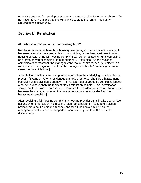otherwise qualifies for rental, process her application just like for other applicants. Do not make generalizations that she will bring trouble to the rental – look at her circumstances individually.

## **Section E: Retaliation**

#### **44. What is retaliation under fair housing laws?**

Retaliation is an act of harm by a housing provider against an applicant or resident because he or she has asserted fair housing rights, or has been a witness in a fair housing situation. The fair housing complaint can be formal (a civil rights complaint) or informal (a verbal complaint to management). [Examples: After a resident complains of harassment, the manager won't make repairs for her. A resident is a witness in an investigation, and then the manager tells her he's watching her more closely for rule violations.]

A retaliation complaint can be supported even when the underlying complaint is not proven. [Example: After a resident gets a notice for noise, she files a harassment complaint with a civil rights agency. The manager, upset about the complaint, issues a notice to vacate, then the resident files a retaliation complaint. An investigation shows that there was no harassment. However, the resident wins the retaliation case, because the manager gave her the vacate notice only because she filed the harassment complaint.]

After receiving a fair housing complaint, a housing provider can still take appropriate actions when that resident violates the rules. Be consistent – issue rule violation notices throughout a person's tenancy and for all residents similarly, so that management actions can be supported. Inconsistency can look like possible discrimination.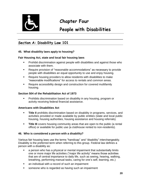

# **Chapter Four**

# **People with Disabilities**

# **Section A: Disability Law 101**

#### **45. What disability laws apply to housing?**

#### **Fair Housing Act, state and local fair housing laws**

- Prohibit discrimination against people with disabilities and against those who associate with them.
- Require provision of "reasonable accommodations" as necessary to provide people with disabilities an equal opportunity to use and enjoy housing.
- Require housing providers to allow residents with disabilities to make "reasonable modifications" for access to rentals and common areas.
- Require accessibility design and construction for covered multifamily housing.

#### **Section 504 of the Rehabilitation Act of 1973**

 Prohibits discrimination based on disability in any housing, program or activity receiving federal financial assistance.

#### **Americans with Disabilities Act**

- **Title II** prohibits discrimination based on disability in programs, services, and activities provided or made available by public entities (state and local public housing, housing authorities, housing assistance and housing referrals).
- **Title III** covers housing community areas that are open to the public (a rental office) or available for public use (a clubhouse rented to non-residents).

#### **46. Who is considered a person with a disability?**

Various fair housing laws use the terms "handicap" and "disability" interchangeably. Disability is the preferred term when referring to this group. Federal law defines a person with a disability as:

- a person who has a physical or mental impairment that substantially limits one or more major life activities ("major life activity" means those activities that are of central importance to daily life, such as seeing, hearing, walking, breathing, performing manual tasks, caring for one's self, learning, etc.)
- an individual with a record of such an impairment
- someone who is regarded as having such an impairment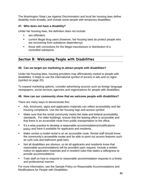The Washington State Law Against Discrimination and local fair housing laws define disability more broadly, and include some people with temporary disabilities.

#### **47. Who does not have a disability?**

Under fair housing laws, the definition does not include:

- sex offenders
- current illegal drug users (however, fair housing laws do protect people who are recovering from substance dependency)
- those with convictions for the illegal manufacture or distribution of a controlled substance

# **Section B: Welcoming People with Disabilities**

#### **48. Can we target our marketing to attract people with disabilities?**

Under fair housing laws, housing providers may affirmatively market to people with disabilities. It helps to use the international symbol of access in ads and on signs (symbol on page 20).

To expand marketing options, consider advertising sources such as foreign language newspapers, social services agencies and organizations for people with disabilities.

#### **49. How can our community show that we welcome people with disabilities?**

There are many ways to demonstrate this:

- Ads, brochures, signs and application materials can reflect accessibility and fair housing compliance. Use the fair housing logo and access symbol.
- **Make sure that the rental community meets the state and federal accessibility** standards. For older buildings, ensure that the leasing office is accessible and that there is an accessible route from public transportation to the office.
- It's a wise practice to develop a reasonable accommodations/modifications policy and have it available for applicants and residents.
- Make certain a model rental is on an accessible route. Rental staff should know the community's accessible routes and be able to point out access features such as curb cuts and bathroom grab bars.
- Not all disabilities are obvious, so let all applicants and residents know that reasonable accommodations will be provided upon request. Include a written notice on application materials and in resident rules that states a willingness to provide accommodations.
- **Train staff on how to respond to reasonable accommodation requests in a timely** and professional manner.

For more information, see the Sample Policy on Reasonable Accommodations and Modifications for People with Disabilities.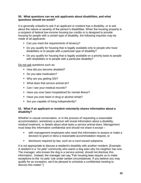#### **50. What questions can we ask applicants about disabilities, and what questions should we avoid?**

It is generally unlawful to ask if an applicant or resident has a disability, or to ask about the nature or severity of the person's disabilities. When the housing property is a recipient of federal low-income housing tax credits or is designed to provide housing for people with a certain type of disability, the following inquiries may be made of all applicants:

- Can you meet the requirements of tenancy?
- Do you qualify for housing that is legally available only to people who have disabilities or to people with a particular type of disability?
- Do you qualify for housing that is legally available on a priority basis to people with disabilities or to people with a particular disability?

Do not ask questions such as:

- How did you become disabled?
- Do you take medication?
- Why are you getting SSI?
- What does that service animal do?
- Can I see your medical records?
- Have you ever been hospitalized for mental illness?
- Have you ever been in drug or alcohol rehab?
- Are you capable of living independently?

#### **51. What if an applicant or resident voluntarily shares information about a disability?**

Whether in casual conversation, or in the process of requesting a reasonable accommodation, sometimes a person will reveal information about a disability, medical treatment, or details about what tasks a service animal does. Management must keep this information confidential and should not share it except –

- with management employees who need this information to assess or make a decision to grant or deny a reasonable accommodation request, or
- disclosure required by law, such as a court-issued subpoena.

It is not appropriate to discuss a resident's disability with another resident. [Example: A resident in a "no pets" community who wants a dog asks why his neighbor has one. The manager, who knows the dog is a service animal, should not disclose this information. Instead, the manager can say "Fair housing laws require us to make exceptions to the 'no pets' rule under certain circumstances. If you believe you may qualify for an exception, we'd be pleased to schedule a confidential meeting to discuss this matter."]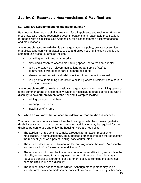# **Section C: Reasonable Accommodations & Modifications**

#### **52. What are accommodations and modifications?**

Fair housing laws require similar treatment for all applicants and residents. However, these laws also require reasonable accommodations and reasonable modifications for people with disabilities. See Appendix C for a list of common accommodations and modifications.

A **reasonable accommodation** is a change made to a policy, program or service that allows a person with a disability to use and enjoy housing, including public and common use areas. Examples include:

- providing rental forms in large print
- providing a reserved accessible parking space near a resident's rental
- using the statewide Telecommunications Relay Service (711) to communicate with deaf or hard of hearing residents
- allowing a resident with a disability to live with a companion animal
- using nontoxic cleaning products in a building where a resident has a serious chemical sensitivity.

A **reasonable modification** is a physical change made to a resident's living space or to the common areas of a community, which is necessary to enable a resident with a disability to have full enjoyment of the housing. Examples include:

- **adding bathroom grab bars**
- **If** lowering closet rods
- **EXECUTE:** installation of a ramp

#### **53. When do we know that an accommodation or modification is needed?**

The duty to accommodate arises when the housing provider has knowledge that a disability exists and that an accommodation or modification may be required for the disabled person to use and enjoy the housing. Here are key points:

- The applicant or resident must make a request for an accommodation or modification. In some situations, an authorized person may make the request for the resident (such as a parent, sibling, caseworker, etc.).
- The request does not need to mention fair housing or use the words "reasonable accommodation" or "reasonable modification."
- The request should describe the accommodation or modification, and explain the disability-related need for the requested action. [Example: A resident may request a transfer to a ground floor apartment because climbing the stairs has become difficult due to a disability.]
- **The request does not need to be written. Although management may use a** specific form, an accommodation or modification cannot be refused just because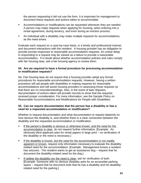the person requesting it did not use the form. It is important for management to document these requests and actions taken to accommodate.

- Accommodations or modifications can be requested whenever they are needed. A person may make requests when applying for housing, when entering into a rental agreement, during tenancy, and even during an eviction process.
- An individual with a disability may make multiple requests for accommodations, as the need arises.

Evaluate each request on a case-by-case basis, in a timely and professional manner, and document interactions with the resident. A housing provider has an obligation to provide prompt responses to reasonable accommodation requests. An undue delay in responding to a request may be viewed as a failure to provide a reasonable accommodation. If in doubt about whether accommodation policies and rules comply with fair housing laws, ask a fair housing agency to review them.

#### **54. Are we required to have a formal procedure for processing accommodation or modification requests?**

No. Fair housing laws do not require that a housing provider adopt any formal procedures for reasonable accommodation requests. However, having a written procedure will aid people with disabilities in making requests for reasonable accommodations and will assist housing providers in assessing those requests so that there are no misunderstandings. Also, in the event of later disputes, documentation of actions taken will provide records to show that the requests received proper consideration. For more information, see the Sample Policy on Reasonable Accommodations and Modifications for People with Disabilities.

#### **55. Can we require documentation that the person has a disability or has a need for a requested accommodation or modification?**

Whether to request documentation and what documentation to request depends on how obvious the disability is, and whether there is a clear connection between the disability and the requested accommodation or modification.

- If the person's disability is obvious or otherwise known, and the need for the accommodation is clear, do not request further information. [Example: An obviously blind applicant asks for rental papers in large print – no verification of the disability or the need is necessary.]
- **If the disability is known, but the need for the accommodation is not readily** apparent or known, request only information necessary to evaluate the disabilityrelated need for the accommodation. [Example: Management knows a resident has seizures. The resident wants to get an assistance dog – request that he document the disability-related need for the dog.]
- If neither the disability nor the need is clear, ask for verification of both. [Example: Someone with no obvious disability asks for an accessible parking space – request that he document both that he has a disability and his disabilityrelated need for the parking.]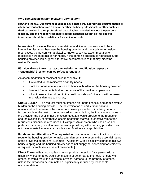*Who can provide written disability verification?* 

**HUD and the U.S. Department of Justice have stated that appropriate documentation is a letter of verification from a doctor or other medical professional, or other qualified third party who, in their professional capacity, has knowledge about the person's disability and the need for reasonable accommodation. Do not ask for specific information about the disability or for medical records!**

**Interactive Process –** The accommodation/modification process should be an interactive discussion between the housing provider and the applicant or resident. In most cases, the person with a disability knows best what accommodation or modification will meet his or her needs. If the person's proposal is not feasible, the housing provider can suggest alternative accommodations that may meet the resident's needs.

#### **56. How do we know if an accommodation or modification request is "reasonable"? When can we refuse a request?**

An accommodation or modification is reasonable if:

- **i** it is related to the resident's disability needs
- **EXTE:** is not an undue administrative and financial burden for the housing provider
- does not fundamentally alter the nature of the provider's operations
- will not pose a direct threat to the health or safety of others or will not result in physical damage to property

**Undue Burden –** The request must not impose an undue financial and administrative burden on the housing provider. The determination of undue financial and administrative burden must be made on a case-by-case basis involving various factors, such as the cost of the requested accommodation, the financial resources of the provider, the benefits that the accommodation would provide to the requester, and the availability of alternative accommodations that would effectively meet the requester's disability-related needs. [Example: An applicant who uses a walker prefers a third-story rental in an older walk-up building – the housing provider does not have to install an elevator if such a modification is cost-prohibitive.]

**Fundamental Alteration –** The requested accommodation or modification must not require the housing provider to make a fundamental alteration in the essential nature of the provider's operations. [Example: A resident with a disability cannot do his own housekeeping and the housing provider does not supply housekeeping for residents. A request for such services is not reasonable.]

**Direct Threat –** Fair housing laws do not provide protection for a person with a disability whose tenancy would constitute a direct threat to the health or safety of others, or would result in substantial physical damage to the property of others, unless the threat can be eliminated or significantly reduced by reasonable accommodation.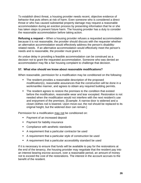To establish direct threat, a housing provider needs recent, objective evidence of behavior that puts others at risk of harm. Even someone who is considered a direct threat or who has caused substantial property damage may request a reasonable accommodation during an eviction process by presenting information that he or she has taken steps to prevent future harm. The housing provider has a duty to consider the reasonable accommodation before taking action.

**Refusing a request –** When a housing provider refuses a requested accommodation because it is not reasonable, the provider should discuss with the requester whether an alternative accommodation would effectively address the person's disabilityrelated needs. If an alternative accommodation would effectively meet the person's needs and is reasonable, the provider must grant it.

An undue delay in providing a feasible accommodation can be construed as a decision not to grant the requested accommodation. Someone who was denied an accommodation may file a fair housing complaint to challenge that decision.

#### **57. What else should we know about reasonable modifications?**

When reasonable, permission for a modification may be conditioned on the following:

- The resident provides a reasonable description of the proposed modification(s), reasonable assurances that the construction will be done in a workmanlike manner, and agrees to obtain any required building permits.
- The resident agrees to restore the premises to the condition that existed before the modification, reasonable wear and tear excepted. Restoration is not needed when the modification would not interfere with the next resident's use and enjoyment of the premises. [Example: A narrow door is widened and a closet clothes rod is lowered. Upon move-out, the rod should be replaced to its original height, but the widened door can remain.]

Permission for a modification may not be conditioned on:

- Payment of an increased deposit
- **Payment for liability insurance**
- Compliance with aesthetic standards
- A requirement that a particular contractor be used
- A requirement that a particular style of construction be used
- A requirement that a particular accessibility standard be used

If it is necessary to ensure that funds will be available to pay for the restorations at the end of the tenancy, the housing provider may negotiate that the resident pay into an interest bearing escrow account, over a reasonable period, an amount of money not to exceed the cost of the restorations. The interest in the account accrues to the benefit of the resident.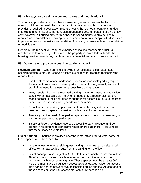#### **58. Who pays for disability accommodations and modifications?**

The housing provider is responsible for ensuring general access to the facility and meeting minimum accessibility standards. Under fair housing laws, a housing provider is required to bear accommodation costs that do not amount to an undue financial and administrative burden. Most reasonable accommodations are no or low cost; however, a housing provider may need to spend money to provide legally required accommodations. Housing providers may not require people with disabilities to pay extra fees or deposits as a condition of receiving a reasonable accommodation or modification.

Generally, the resident will bear the expenses of making reasonable structural modifications to a property. However, if the property receives federal funds, the housing provider usually pays, unless there is financial and administrative hardship.

#### **59. Do we have to provide accessible parking spaces?**

**Resident parking** – When parking is provided for residents, it is a reasonable accommodation to provide reserved accessible spaces for disabled residents who request them.

- Use the standard accommodations process for accessible parking requests. If a resident has a state disabled parking permit, this is generally sufficient proof of the need for a reserved accessible parking space.
- Many people who need a reserved parking space don't need an extra-wide space with an access aisle – they often need only a regular-size parking space nearest to their front door or on the most accessible route to the front door. Discuss specific parking needs with the resident.
- Even if individual parking spaces are not normally assigned, provide a reserved parking space to a resident with a disability as necessary.
- Post a sign at the head of the parking space saying the spot is reserved, to warn other people not to park there.
- Strictly enforce a resident's reserved accessible parking space, and be prompt in responding to complaints when others park there. Alert vendors that these spaces are off limits.

**Guest parking** – If parking is provided near the rental office or for guests, some of those spaces must be accessible.

- Locate at least one accessible guest parking space near an on-site rental office, with an accessible route from the parking to the office.
- Guest parking is also subject to ADA Title III rules, which require that at least 2% of all guest spaces in each lot meet access requirements and be designated with appropriate signage. These spaces must be at least 96" wide and must have an adjacent access aisle at least 60" wide. An access aisle can be shared between two accessible parking spaces. At least one of these spaces must be van accessible, with a 96" access aisle.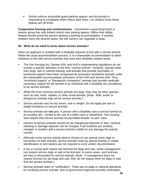Strictly enforce accessible guest parking spaces, and be prompt in responding to complaints when others park there. Let vendors know these spaces are off limits.

**Cooperative housing and condominiums** – Sometimes a governing board or owners group has only limited control over parking spaces. Within their ability, Boards should assist the person seeking a parking accommodation. If another resident owns the desired space, the two owners can negotiate a swap.

#### **60. What do we need to know about service animals?**

When an applicant or resident with a disability requests to live with a service animal, follow the usual accommodation process. It is a reasonable accommodation to allow residents to live with service animals that meet their disability-related needs.

- The Fair Housing Act, Section 504, and HUD's implementing regulations do not contain a specific definition of the term "service animal". However, species other than dogs, with or without training, and animals that provide psychiatric or emotional support have been recognized as necessary assistance animals under the reasonable accommodation provisions of the FHA and Section 504. Thus, "emotional support" or "therapeutic companion" animals that provide medically necessary support for the benefit of an individual with a disability are considered to be service animals.
- While the most common service animals are dogs, they may be other species, such as cats, birds, reptiles, or other small animals. [Note: Wild, exotic or dangerous animals may not be service animals.]
- Service animals may be any breed, size or weight. Do not apply pet size or weight limitations to service animals.
- Service animals are **not** pets. A person with a disability uses a service animal as an auxiliary aid – similar to the use of a white cane or wheelchair. Fair housing laws require that service animals be permitted despite "no pet" rules.
- Owners of service animals should not be charged pet deposits or fees. General cleaning or damage deposits can be charged, if all residents are similarly charged. A resident with a service animal is liable for any damage the animal causes.
- Although some service animal owners choose to use special vests, tags or harnesses on their animals, service animals need no special license or visible identification or and owners are not required to carry written documentation.
- If city or county laws require pet licenses for dogs and cats, rental management can require service dogs or cats to be licensed. In some cases, such licenses are free or discounted for service animals. [Note: If management does not require licenses for pet dogs and cats, then do not require them for dogs or cats that are service animals.]
- Service animals need no "certification". There are no state or national standards for certifying service animals, and no government agencies provide certification.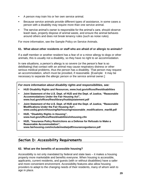- A person may train his or her own service animal.
- Because service animals provide different types of assistance, in some cases a person with a disability may require more than one service animal.
- The service animal's owner is responsible for the animal's care, should observe leash laws, properly dispose of animal waste, and ensure the animal behaves around others and does not break tenancy rules (such as noise rules).

For more information, see the Sample Policy on Service Animals.

#### **61. What about other residents or staff who are afraid of or allergic to animals?**

If a staff member or another resident has a fear of or a minor allergy to dogs or other animals, this is usually not a disability, so they have no right to an accommodation.

In rare situations, a person's allergy is so severe (or the person's fear is so debilitating) that contact with an animal may cause respiratory distress or other serious medical problems, thus the person has a disability. That person may request an accommodation, which must be provided, if reasonable. [Example: It may be necessary to separate the allergic person or the service animal owner.]

*For more information about disability rights and responsibilities, see:*

- **HUD Disability Rights and Resou[rces, www.hud.gov/offices/fheo/disabilities](http://www.hud.gov/offices/fheo/disabilities)**
- **Joint Statement of the U.S. Dept. of HUD and the Dept. of Justice, "Reasonable Accommodations Under the Fair Housing Act"[,](http://www.hud.gov/offices/fheo/library/huddojstatement.pdf) [www.hud.gov/offices/fheo/library/huddojstatement.pdf](http://www.hud.gov/offices/fheo/library/huddojstatement.pdf)**
- **Joint Statement of the U.S. Dept. of HUD and the Dept. of Justice, "Reasonable Modifications Under the Fair Housing Act"[,](http://www.usdoj.gov/crt/housing/fairhousing/reasonable_modifications_mar08.pdf) [www.usdoj.gov/crt/housing/fairhousing/reasonable\\_modifications\\_mar08.pdf](http://www.usdoj.gov/crt/housing/fairhousing/reasonable_modifications_mar08.pdf)**
- **HUD, "Disability Rights in Housing"[,](http://www.hud.gov/offices/fheo/disabilities/inhousing.cfm) [www.hud.gov/offices/fheo/disabilities/inhousing.cfm](http://www.hud.gov/offices/fheo/disabilities/inhousing.cfm)**
- **HUD, "Insurance Policy Restrictions as a Defense for Refusals to Make a Reasonable Accommodation"[,](http://www.fairhousing.com/include/media/pdf/insuranceguidance.pdf) [www.fairhousing.com/include/media/pdf/insuranceguidance.pdf](http://www.fairhousing.com/include/media/pdf/insuranceguidance.pdf)**

# **Section D: Accessibility Requirements**

#### **62. What are the benefits of accessible housing?**

Accessibility is not only mandated by federal and state laws – it makes a housing property more marketable and benefits everyone. When housing is accessible, applicants, current residents, and guests (with or without disabilities) have a safer and more convenient environment. Accessibility features also allow housing providers to adapt to the changing needs of their residents, many of whom wish to age in place.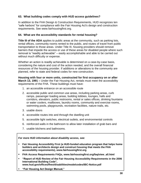#### **63. What building codes comply with HUD access guidelines?**

In addition to the FHA Design & Construction Requirements, HUD recognizes ten "safe harbors" for compliance with the Fair Housing Act's design and construction requirements. See www.fairhousingfirst.org.

#### **64. What are the accessibility standards for rental housing?**

**Title III of the ADA** applies to public areas at the community, such as parking lots, rental offices, community rooms rented to the public, and routes of travel from public transportation to those areas. Under Title III, housing providers should remove barriers that impede the access or use of these areas for disabled people where such removal is "readily achievable" – easily accomplishable and able to be carried out without much difficulty or expense.

Whether an action is readily achievable is determined on a case-by-case basis, considering the nature and cost of the action needed, and the overall financial resources of the housing provider. If additions or alterations to the community are planned, refer to state and federal codes for new construction.

**Housing with four or more units, constructed for first occupancy on or after March 13, 1991 –** Under the Fair Housing Act, rentals must meet the accessibility requirements of the FHA. These buildings must have:

- 1. an accessible entrance on an accessible route
- 2. accessible public and common use areas, including parking areas, curb ramps, passenger loading areas, building lobbies, lounges, halls and corridors, elevators, public restrooms, rental or sales offices, drinking fountains or water coolers, mailboxes, laundry rooms, community and exercise rooms, swimming pools, playgrounds, recreation facilities, nature trails, etc.
- 3. usable doors
- 4. accessible routes into and through the dwelling unit
- 5. accessible light switches, electrical outlets, and environmental controls
- 6. reinforced walls in the bathroom to allow later installation of grab bars and
- 7. usable kitchens and bathrooms.

*For more HUD information about disability access, see:*

- **Fair Housing Accessibility First (a HUD-funded education program that helps home builders and architects design and construct housing that meets the FHA accessibili[ty requirements\), www.fairhousingfirst.org](http://www.fairhousingfirst.org/)**
- **FHA Access Requirements FAQs, www.fairhousingfirst.org/faq/view\_all.html**
- **"Report of HUD Review of the Fair Housing Accessibility Requirements in the 2006 International Building Code", [www.hud.gov/offices/fheo/disabilities/modelcodes/IBC-Notice.pdf](http://www.hud.gov/offices/fheo/disabilities/modelcodes/IBC-Notice.pdf)**
- **"Fair Housing Act Design Manual,"**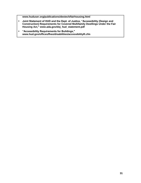**www.huduser.org/publications/destech/fairhousing.html**

- **Joint Statement of HUD and the Dept. of Justice, "Accessibility (Design and Construction) Requirements for Covered Multifamily Dwellings Under the Fair Housing Act," www.ada.gov/doj\_hud\_statement.pdf**
- **"Accessibility Requirements for Buildings,["](http://www.hud.gov/offices/fheo/disabilities/accessibilityR.cfm) [www.hud.gov/offices/fheo/disabilities/accessibilityR.cfm](http://www.hud.gov/offices/fheo/disabilities/accessibilityR.cfm)**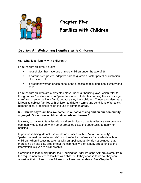

# **Chapter Five Families with Children**

# **Section A: Welcoming Families with Children**

#### **65. What is a "family with children"?**

Families with children include:

- households that have one or more children under the age of 18
- a parent, step-parent, adoptive parent, guardian, foster parent or custodian of a minor child
- a pregnant woman or someone in the process of acquiring legal custody of a child.

Families with children are a protected class under fair housing laws, which refer to this group as "familial status" or "parental status". Under fair housing laws, it is illegal to refuse to rent or sell to a family because they have children. These laws also make it illegal to subject families with children to different terms and conditions of tenancy, harsher rules, or restrictions on the use of common areas.

#### **66. Can we say "Families Welcome" in our advertising and on our community signage? Should we avoid certain words or phrases?**

It is okay to market to families with children. Indicating that families are welcome in a community does not deny any other protected class the opportunity to apply for housing.

In print advertising, do not use words or phrases such as "adult community" or "perfect for mature professionals", which reflect a preference for residents without children. When discussing a rental with an applicant family, do not point out that there is no on-site play area or that the community is on a busy street, unless this information is given to all applicants.

Communities that qualify under the "Housing for Older Persons Act" are exempt from the requirement to rent to families with children. If they choose to do so, they can advertise that children under 18 are not allowed as residents. See Chapter Six.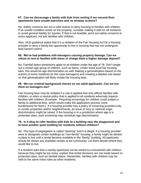#### **67. Can we discourage a family with kids from renting if our second floor apartments have unsafe balconies and no window screens?**

No. Safety concerns are not a valid reason to deny housing to families with children. If an unsafe condition exists on the property, consider making it safe for all residents to avoid general liability for injuries. If that is not feasible, point out safety concerns to every applicant, not just families with children.

Also, HUD guidance states that it is a violation of the Fair Housing Act for a housing provider to deny a family the opportunity to live in housing that has not undergone lead hazard control.

#### **68. We've had problems with teenagers causing property damage. Can we refuse to rent to families with teens or charge them a higher damage deposit?**

No. Familial status protections apply to all children under the age of 18. Don't single out a certain age group of children, such as teens. Under some local fair housing laws, this would be age discrimination as well. Making a generalization based on the actions of some residents (in this case teenagers) and creating a blanket rule based on that generalization will likely violate fair housing laws.

#### **69. We run criminal background checks on our adult applicants. Can we run them on teenagers too?**

Fair housing laws may be violated if a rule is applied that only affects families with children, or when a neutral policy that is applied to all residents adversely impacts families with children. [Example: Requiring screenings for children could subject a family to additional fees, which would make the application process more burdensome for them.] If a housing provider has a policy of screening juveniles only in certain properties and/or neighborhoods, an issue of race or national origin discrimination might be raised. If the housing is in a jurisdiction where age is a protected class, such screening may constitute age discrimination.

#### **70. Is it okay to refer families with kids to a building near the playground and to have another quiet building for residents without children?**

No. This type of segregation is called "steering" and it is illegal. If a housing provider were to designate certain buildings as "non-family" housing, a family might be denied a place to live until a rental became available in the "family" building. All applicants should be shown any available rentals at the community. Let them decide where they would like to live.

If a resident asks that a nearby apartment not be rented to a household with children because they might be too noisy, explain that rental decisions are not made based on protected class, such as familial status. Remember, families with children may be held to the same noise rules as other residents.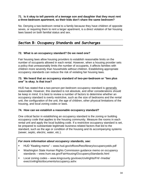#### **71. Is it okay to tell parents of a teenage son and daughter that they must rent a three-bedroom apartment, so their kids don't share the same bedroom?**

No. Denying a two-bedroom rental to a family because they have children of opposite sexes, or requiring them to rent a larger apartment, is a direct violation of fair housing laws based on both familial status and sex.

# **Section B: Occupancy Standards and Surcharges**

#### **72. What is an occupancy standard? Do we need one?**

Fair housing laws allow housing providers to establish reasonable limits on the number of occupants allowed in each rental. However, when a housing provider sets a policy that unreasonably limits the number of occupants, it affects families with children more severely than households without children. Establishing appropriate occupancy standards can reduce the risk of violating fair housing laws.

#### **73. We heard that an occupancy standard of two-per-bedroom or "two plus one" is okay. Is that true?**

HUD has stated that a two-person-per-bedroom occupancy standard is generally reasonable. However, this standard is not absolute, and other considerations should be keep in mind. It is best to review a number of factors to determine whether an occupancy standard is overly restrictive, such as the size of bedrooms and the rental unit, the configuration of the unit, the age of children, other physical limitations of the housing, and local zoning codes or laws.

#### **74. How can we establish a reasonable occupancy standard?**

One critical factor in establishing an occupancy standard is the zoning or building occupancy code that applies to the housing community. Measure the rooms in each rental unit and apply the local building code. If a restrictive occupancy standard is set, be prepared to substantiate legitimate business-related factors that led to the standard, such as the age or condition of the housing and its accompanying systems (sewer, septic, electric, water, etc.).

#### *For more information about occupancy standards, see:*

- HUD "Keating memo" [www.hud.gov/offices/fheo/library/occupancystds.pdf](http://www.hud.gov/offices/fheo/library/occupancystds.pdf)
- Washington State Human Rights Commission guidance memo on occupanc[y](http://www.hum.wa.gov/FairHousing/OccupancyStandards.html) standards – [www.hum.wa.gov/FairHousing/OccupancyStandards.html](http://www.hum.wa.gov/FairHousing/OccupancyStandards.html)
- Local zoning codes [www.kingcounty.gov/exec/civilrights/FH/~/media/](http://www.kingcounty.gov/exec/civilrights/FH/~/media/) exec/civilrights/documents/occupancy.ashx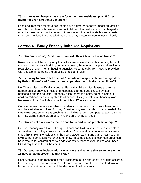#### **75. Is it okay to charge a base rent for up to three residents, plus \$50 per month for each additional occupant?**

Fees or surcharges for extra occupants have a greater negative impact on families with children than on households without children. If an extra amount is charged, it must be based on actual increased utilities use or other legitimate business costs. Many communities have installed individual utility meters to monitor costs directly.

# **Section C: Family Friendly Rules and Regulations**

#### **76. Can our rules say "children cannot ride their bikes on the walkways"?**

Rules of conduct that apply only to children are unlawful under fair housing laws. If the goal is to ban bicycle riding on the walkways, the rule must apply to all residents, regardless of age. The fair housing agencies welcome calls from housing providers with questions regarding the phrasing of resident rules.

#### **77. Is it okay to have rules such as "parents are responsible for damage done by their children" and "parents must supervise their children at all times"?**

No. These rules specifically target families with children. Most leases and rental agreements already hold residents responsible for damage caused by their household and their guests. If tenancy rules repeat this point, do not single out children. Whenever a rule applies to all minors, it likely violates fair housing laws, because "children" includes those from birth to 17 years of age.

Common areas that are available to residents for recreation, such as a lawn, must also be available to children for play. Consider why each resident rule is needed. For safety reasons, some areas (such as a pool, fitness room, dumpster area or parking lot) may warrant supervision of very young children by an adult.

#### **78. Can we set a curfew so teens don't loiter and cause problems at night?**

General tenancy rules that outline quiet hours and limit noise must be applicable to all residents. It is okay to restrict all residents from certain common areas at certain times. [Example: No residents in the pool between 10 pm and 7 am.] Fair housing laws do not permit curfews for children only. In some situations, common areas can be restricted for children of certain ages for safety reasons (see below) and under HOPA regulations (see Chapter Six).

#### **79. Our pool rules include adult swim hours and require that swimmers under 18 have an adult present. Is that okay?**

Pool rules should be reasonable for all residents to use and enjoy, including children. Fair housing laws do not permit "adult" swim hours. One alternative is to designate a lap swim time at certain hours of the day, open to all residents.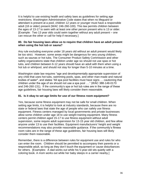It is helpful to use existing health and safety laws as guidelines for setting age restrictions. Washington Administrative Code states that when no lifeguard or attendant is present at a pool, children 12 years or younger must have a responsible adult (18 or older) present (WAC 246-260-100). This law permits children between the ages of 13-17 to swim with at least one other person present who is 13 or older. [Example: Two 13 year olds could swim together without any adult present – one can rescue the other or call for help if necessary.]

#### **80. Do fair housing laws allow us to require that children have an adult present when using the hot tub or sauna?**

Any rule excluding everyone under 18 years old without an adult present would likely be too strict. However, some areas might be dangerous for very young children, such as saunas or hot tubs. The Consumer Product Safety Commission and other safety organizations state that children under age six should not use spas or hot tubs, and children between 6-12 years should have an adult with them when using a hot tub or whirlpool, and should not stay for longer than 5-10 minutes at a time.

Washington state law requires "age and developmentally appropriate supervision of any child that uses hot tubs, swimming pools, spas, and other man-made and natural bodies of water", and states "All spa pool facilities must have signs … cautioning that children under the age of six should not use a spa pool …." (WAC 388-148-0170 and 246-260-131). If the community's spa or hot tub rules are in the range of these age guidelines, fair housing laws will likely consider them reasonable.

#### **81. Is it okay to set age limits for use of our fitness room equipment?**

Yes, because some fitness equipment may not be safe for small children. When setting age limits, it is helpful to look at industry standards, because there are no state or federal laws that state the age of people who can safely use fitness equipment. Fitness centers managed by local governments and private businesses allow some children under age 18 to use weight training equipment. Many fitness centers permit children aged 15-17 to use fitness equipment without adult supervision, some require adult supervision for 13-15 year old children, and few allow anyone under 13 to use their facilities. Equipment manufacturers' height and weight recommendations may also provide reasonable guidance. If the community's fitness room rules are in the range of these age guidelines, fair housing laws will likely consider them reasonable.

Remember, there is a difference between rules for equipment use and rules for who can enter the room. Children should be permitted to accompany their parents or a responsible adult, so long as they don't touch the equipment or cause disturbances for others. [Examples: A dad works out while his 5-year-old sits quietly with a coloring book. A mom works out while her baby sleeps in a carrier nearby.]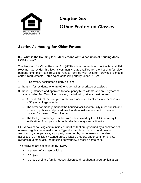

# **Chapter Six**

# **Other Protected Classes**

# **Section A: Housing for Older Persons**

#### **82. What is the Housing for Older Persons Act? What kinds of housing does HOPA cover?**

The Housing for Older Persons Act (HOPA) is an amendment to the federal Fair Housing Act. Under this law, a community that qualifies for the housing for older persons exemption can refuse to rent to families with children, provided it meets certain requirements. Three types of housing qualify under HOPA:

- 1. HUD Secretary designated elderly housing
- 2. housing for residents who are 62 or older, whether private or assisted
- 3. housing intended and operated for occupancy by residents who are 55 years of age or older. For 55 or older housing, the following criteria must be met:
	- At least 80% of the occupied rentals are occupied by at least one person who is 55 years of age or older
	- The owner or management of the housing facility/community must publish and adhere to policies and procedures that demonstrate an intent to provide housing for persons 55 or older and
	- The facility/community complies with rules issued by the HUD Secretary for verification of occupancy through reliable surveys and affidavits.

HOPA covers housing communities or facilities that are governed by a common set of rules, regulations or restrictions. Typical examples include: a condominium association, a cooperative, a property governed by homeowners or resident association, a municipally zoned area, a leased property under common private ownership, a manufactured housing community, a mobile home park.

The following are not covered by HOPA:

- a portion of a single building
- a duplex
- a group of single family houses dispersed throughout a geographical area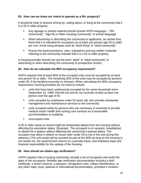#### **83. How can we show our intent to operate as a 55+ property?**

It should be clear to anyone driving by, calling about, or living at the community that it is a 55 or older property.

- Any signage or printed material should include HOPA language "55+ Community", "Age 55 or Older Housing Community" or similar language.
- **When advertising or describing the community to applicants, be certain they** know that it is intended for occupancy by at least one person age 55 or older per unit. Avoid using phrases such as "adult living" or "adult community".
- Ensure the lease provisions, rules, regulations and any written materials referring to the community indicate that it is a 55 or older property.

A housing provider should not use the word "adult" or "adult community" in advertising or when describing the community to prospective renters.

#### **84. How do we calculate the 80% occupancy requirement?**

HOPA requires that at least 80% of the occupied units must be occupied by at least one person 55 or older. The remaining 20% of the units may be occupied by persons under 55, if the facility/community so chooses. When calculating the 80% occupancy requirement, housing providers do not need to include:

- units that have been continuously occupied by the same household since September 13, 1988, that did not and do not currently contain at least one person over the age of 55
- units occupied by employees under 55 years old, who provide substantial management and maintenance services to the community
- **units occupied solely by persons who are necessary or essential to provide** medical and/or health and nursing care services as a reasonable accommodation to residents
- **unoccupied units**

A 55 or older owner or tenant might be temporarily absent from the housing without affecting the exemption status. [Example: The occupant is on vacation, hospitalized, or absent for a season without affecting the community's exempt status. The occupant may allow a relative or house sitter under 55 to live in the unit during this absence.] The unit would still be counted as part of the 80% as long as the housing is not rented out, the owner/tenant returns on a periodic basis, and maintains legal and financial responsibility for the upkeep of the housing.

#### **85. How should we obtain age verification?**

HOPA requires that a housing community compile a list of occupants and verify the ages of the occupants. Reliable age verification documentation includes a birth certificate, a driver's license, a passport, immigration card, military identification, or any other state, local, national or international documentation, provided it contains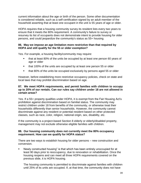current information about the age or birth of the person. Some other documentation is considered reliable, such as a self-certification signed by an adult member of the household asserting that at least one occupant in the unit is 55 years of age or older.

HOPA requires that a housing community survey its resident lists every two years to ensure that it meets the 80% requirement. A community's failure to survey or resurvey its list of occupants does not demonstrate intent to provide housing for older persons, and could jeopardize the community's status as 55+ housing.

#### **86. May we impose an age limitation more restrictive than that required by HOPA and still qualify for the 55 or older exemption?**

Yes. For example, a housing facility/community may require:

- that at least 80% of the units be occupied by at least one person 60 years of age or older
- **that 100% of the units are occupied by at least one person 55 or older**
- **that 80% of the units be occupied exclusively by persons aged 55 or older**

However, before establishing more restrictive occupancy policies, check on state and local laws that may prohibit discrimination based on age.

#### **87. We meet HOPA requirements, and permit families with children to occupy up to 20% of our rentals. Can our rules say children under 18 are not allowed in certain areas?**

Yes. If a 55+ property qualifies under HOPA, it is exempt from the Fair Housing Act's prohibition against discrimination based on familial status. The community may restrict children under 18 from benefits of the community, or otherwise treat their households differently than senior households. However, the community cannot discriminate against any resident or potential resident based on other protected classes, such as race, color, religion, national origin, sex, disability, etc.

If the community is a project-based Section 8 elderly or elderly/disabled property, management may not exclude otherwise eligible families with children.

#### **88. Our housing community does not currently meet the 80% occupancy requirement. How can we qualify for HOPA status?**

There are two ways to establish housing for older persons – new construction and conversion.

 Newly constructed housing" is that which has been entirely unoccupied for at least 90 days prior to reoccupancy, due to renovation or rehabilitation. Once the housing reopens and can meet all three HOPA requirements covered on the previous slide, it is HOPA housing.

The housing community is permitted to discriminate against families with children until 25% of its units are occupied. If, at that time, the community does not have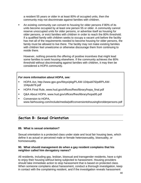a resident 55 years or older in at least 80% of occupied units, then the community may not discriminate against families with children.

 An existing community can convert to housing for older persons if 80% of its units become occupied by at least one person 55 or older. A community cannot reserve unoccupied units for older persons, or advertise itself as housing for older persons, or evict families with children in order to reach the 80% threshold. If a qualified family with children seeks to occupy a vacant unit before the facility has met all of the requirements needed to become housing for older persons, the family must be allowed to live there. The facility may not make existing families with children feel unwelcome or otherwise discourage them from continuing to reside there.

However, nothing prevents the offering of positive incentives that might lead some families to seek housing elsewhere. If the community achieves the 80% threshold without discriminating against families with children, it may then be considered a HOPA community.

#### *For more information about HOPA, see:*

- HOPA Act, http://www.gpo.gov/fdsys/pkg/PLAW-104publ76/pdf/PLAW-104publ76.pdf
- [HOPA Final Rule, www.hud.gov/offices/fheo/library/hopa\\_final.pdf](http://www.hud.gov/offices/fheo/library/hopa_final.pdf)
- Q&A About [HOPA, www.hud.gov/offices/fheo/library/hopa95.pdf](http://www.hud.gov/offices/fheo/library/hopa95.pdf)
- **Conversion to HOPA[,](http://www.fairhousing.com/include/media/pdf/conversiontohousingforolderpersons.pdf)** [www.fairhousing.com/include/media/pdf/conversiontohousingforolderpersons.pdf](http://www.fairhousing.com/include/media/pdf/conversiontohousingforolderpersons.pdf)

# **Section B: Sexual Orientation**

#### **89. What is sexual orientation?**

Sexual orientation is a protected class under state and local fair housing laws, which define it as actual or perceived male or female heterosexuality, bisexuality, or homosexuality.

#### **90. What should management do when a gay resident complains that his neighbor called him derogatory names?**

All residents, including gay, lesbian, bisexual and transgender residents, have a right to enjoy their housing without being subjected to harassment. Housing providers should take immediate action to stop harassment that is based on protected class. When someone complains about harassment, conduct a thorough investigation, keep in contact with the complaining resident, and if the investigation reveals harassment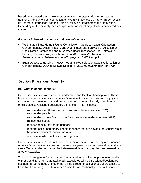based on protected class, take appropriate steps to stop it. Monitor for retaliation against anyone who filed a complaint or was a witness. (See Chapter Three, Section B) For more information, see the Sample Policy on Harassment and Retaliation. Depending on the severity, certain types of harassment may also be considered hate crimes.

#### *For more information about sexual orientation, see:*

- Washington State Human Rights Commission, "Guide to Sexual Orientation, Gender Identity, Discrimination, and Washington State Laws: [Self-Assessment](http://www.hum.wa.gov/documents/FairHousing/Self-Assessment-%20Housing%20and%20Real%20Esate.pdf) [Checklist for Compliance and Suggested Best Practices for Real Estate and](http://www.hum.wa.gov/documents/FairHousing/Self-Assessment-%20Housing%20and%20Real%20Esate.pdf) [Housing Transactions"](http://www.hum.wa.gov/documents/FairHousing/Self-Assessment-%20Housing%20and%20Real%20Esate.pdf), www.hum.wa.gov/Documents/Publications/ SelfAssessments/Self-Assessment-Employment2ndEdition.pdf
- Equal Access to Housing in HUD Programs Regardless of Sexual Orientation or Gender Identity, www.gpo.gov/fdsys/pkg/FR-2012-02-03/pdf/2012-2343.pdf

## **Section B: Gender Identity**

#### **91. What is gender identity?**

Gender identity is a protected class under state and local fair housing laws. These laws define gender identity as a person's self-identification, expression, or physical characteristics, mannerisms and dress, whether or not traditionally associated with one's biological/assigned/designated sex at birth. This includes:

- transgender men (trans men) also known as female-to-male (FTM) transgender people
- transgender women (trans women) also known as male-to-female (MTF) transgender people
- agender people (having no gender)
- genderqueer or non-binary people (genders that are beyond the constraints of the gender binary of man/woman), or
- anyone else who identifies as transgender.

Gender identity is one's internal sense of being a woman, man, or any other gender. A person's gender identity does not determine a person's sexual orientation, and vice versa. Transgender people can be heterosexual, bisexual, gay, lesbian, asexual or another sexuality.

The term "transgender" is an umbrella term used to describe people whose gender expression differs from that traditionally associated with their assigned/designated sex at birth. Some people, though not all, go through medical or social processes to transition from one gender to another. Some terms traditionally used to describe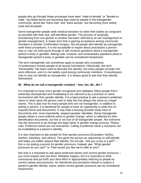people who go through these processes have been "male-to-female" or "female-tomale," but these terms are becoming less used by people in the transgender community; terms like "trans man" and "trans woman" are becoming more widely used and accepted.

Some transgender people seek medical transition to make their bodies as congruent as possible with their real, self-identified gender. The process of surgically transitioning from one gender to another has been referred to as sex reassignment or gender reassignment. A newer term that is gaining acceptance among community members is Gender Confirmation Surgery. Not all people who identify as transgender seek these procedures. It is not acceptable to inquire about procedures a person may or may not have gone through or ask invasive questions about a transgender person's body or genitals. Asking rude, invasive, and unnecessary questions about a transgender person's body or genitals can be considered harassment.

The term transgender can sometimes apply to people who crossdress. Crossdressers include people of all sexual orientations. Historically, the term "transvestite" has been used to describe this identity, but many people consider this word offensive, and it is not widely used among community members. Crossdressers may or may not identify as transgender. It is always good to ask how they identify themselves.

#### **92. What do we call a transgender resident – him, her, Mr., Ms.?**

It is important to have one's gender recognized and validated. Many people find it extremely disrespectful and invalidating to be referred to by a pronoun or name inconsistent with their gender identity. It is a best practice to ask a person's preferred name or what name the person uses in daily life (not always the same as a legal name). This is also true for many people who are not transgender. In addition to asking in person, it is beneficial for people to have an opportunity to state this on required forms and documents. It may help a housing provider keep track of documents and, more importantly, respect peoples' identities. Some transgender people obtain a court-ordered name or gender change, which is reflected on their identification documents, but this is not true of all transgender people. Not everyone has the resources to go through the legal name or gender change process. Please note: Preferred names are not nicknames. Calling a preferred name a nickname can be invalidating to a person's identity.

It is also important to ask people for their gender pronouns [Examples: he/him, she/her, they/they, and others]. This gives the person an opportunity to self-identify and helps you better respect their identity. Do not ask, "Are you a boy or a girl?" – this is not asking a person for gender pronouns. Instead, ask, "What gender pronouns do you use?" or "How would you like me to refer to you?"

Not only is it important to ask about preferred names and correct gender pronouns – you must respect and use them. Mistakes happen, but it is important to think consciously and put forth your best effort in appropriately referring to people by correct names and pronouns. An intentional and persistent refusal to respect a person's gender identity, name, and/or correct gender pronouns can be considered harassment.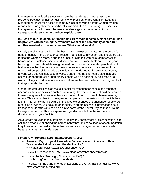Management should take steps to ensure that residents do not harass other residents because of their gender identity, expression, or presentation. [Example: Management must take action to remedy a situation when a trans woman resident reports that a neighbor made verbal slurs or made fun of her transgender identity.] Management should never disclose a resident's gender non-conformity or transgender identity to others without explicit consent.

#### **93. One of our residents is transitioning from male to female. Management has no problem with her using the women's room at the community center, but another resident expressed concern. What should we do?**

Usually the simplest solution is the best – use the restroom matching the person's gender identity. If the transgender resident identifies as a woman, she should be able to use the women's room. If she feels unsafe using the women's room for fear of harassment or violence, she should use whatever restroom feels safest. Everyone has a right to feel safe while using the restroom. Some transgender people do not feel safe in either the men's or women's restrooms because of harassment from others. Where possible, provide a single-stall, gender-neutral restroom for use by anyone who desires increased privacy. Gender-neutral bathrooms also increase access for genderqueer or non-binary people who do not identify as a man or a woman. They should have access to a bathroom that feels safe and is congruent with their gender identity, too.

Gender-neutral facilities also make it easier for transgender people and others to change clothes for activities such as swimming. However, no one should be required to use a single-stall restroom either as a matter of policy or due to harassment by others. Those who object to transgender people using the restroom with which they identify may simply not be aware of the lived experiences of transgender people. As a housing provider, you have an opportunity to create access to information about transgender identities and to help dismiss some of the harmful myths that surround transgender people. This can spare transgender people from harassment and discrimination in your facilities.

An alternate solution to this problem, or really any harassment or discrimination, is to ask the person experiencing the harassment what kind of solution or accommodation they think would be best for them. No one knows a transgender person's needs better than that transgender person.

#### *For more information about gender identity, see:*

- American Psychological Association, "Answers to Your Questions About Transgender Individuals and Gender Identity,["](http://www.apa.org/topics/sexuality/transgender.aspx) [www.apa.org/topics/sexuality/transgender.aspx](http://www.apa.org/topics/sexuality/transgender.aspx)
- GLAAD, "Transgender FAQ", www.glaad.org/transgender/transfaq
- Human Rights Campaign, "Transgender FAQ," www.hrc.org/resources/transgender-faq
- Parents, Families and Friends of Lesbians and Gays Transgender Network, https://community.pflag.org/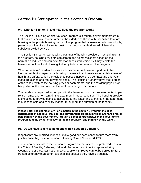# **Section D: Participation in the Section 8 Program**

#### **94. What is "Section 8" and how does the program work?**

The Section 8 Housing Choice Voucher Program is a federal government program that assists very low-income families, the elderly and those with disabilities to afford housing in the private housing market. The program helps low-income households by paying a portion of a unit's rental cost. Local housing authorities administer the subsidy provided by HUD.

The Section 8 program works with thousands of housing providers in Washington. In the program, housing providers can screen and select residents based on their normal procedures and can evict Section 8-assisted residents if they violate the lease. Contact the local Housing Authority to learn more about the program.

When a Section 8 resident locates an available rental house or apartment, the Housing Authority inspects the housing to ensure that it meets an acceptable level of health and safety. When the residence passes inspection, a contract and one-year lease are signed and rent payments begin. The Housing Authority pays their portion of the rent directly to the housing provider each month, and the resident pays his or her portion of the rent to equal the total rent charged for that unit.

The resident is expected to comply with the lease and program requirements, to pay rent on time, and to maintain the apartment in good condition. The housing provider is expected to provide services according to the lease and to maintain the apartment in a decent, safe and sanitary manner throughout the duration of the tenancy.

**Please note: The definition of "Participation in the Section 8 Program includes participating in a federal, state or local government program in which a tenant's rent is paid partially by the government, through a direct contract between the government program and the owner or lessor of the real property, and partially by the tenant.**

#### **95. Do we have to rent to someone with a Section 8 voucher?**

If applicants are qualified, it doesn't make good business sense to turn them away just because they have a Section 8 Housing Choice Voucher (HCV).

Those who participate in the Section 8 program are members of a protected class in the Cities of Seattle, Bellevue, Kirkland, Redmond, and in unincorporated King County. Under these fair housing laws, people with HCVs cannot be denied rental or treated differently than other residents just because they have a Voucher.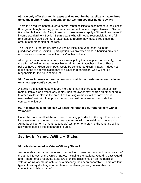#### **96. We only offer six-month leases and we require that applicants make three times the monthly rental amount, so can we turn voucher holders away?**

There is no requirement to alter to normal rental policies to accommodate the Section 8 program, though housing providers can choose to offer one-year leases to Section 8 voucher holders only. Also, it does not make sense to apply a "three times the rent" income standard to a Section 8 participant, who will not be responsible for the full rent amount. It would be more reasonable to require they make three times the amount of their portion of the rent.

The Section 8 program usually involves an initial one-year lease, so in the jurisdictions where Section 8 participation is a protected class, a housing provider must waive a six-month lease limit for Voucher holders.

Although an income requirement is a neutral policy that is applied consistently, it has the effect of making rental impossible for all Section 8 voucher holders. These policies have a "disparate impact" would be considered discriminatory. It does not make sense to apply this standard to a Section 8 participant who will not be responsible for the full rent amount.

#### **97. Can we increase our rent amounts to match the maximum amount allowed on a new applicant's voucher?**

A Section 8 unit cannot be charged more rent than is charged for all other similar rentals. If this is an owner's only rental, then the owner may charge an amount equal to other similar rentals in the area. The Housing Authority will perform a "rent reasonable" test prior to approve the rent, and will not allow rents outside the comparable figures.

#### **98. If market rates go up, can we raise the rent for a current resident with a voucher?**

Under the state Landlord-Tenant Law, a housing provider has the right to request an increase in rent at the end of each lease term. As with the initial rent, the Housing Authority will perform a "rent reasonable" test prior to approving the rent and will not allow rents outside the comparable figures.

### **Section E: Veteran/Military Status**

#### **99. Who is included in Veteran/Military Status?**

An honorably discharged veteran or an active or reserve member in any branch of the armed forces of the United States, including the National Guard, Coast Guard, and Armed Forces reserves. State law prohibits discrimination on the basis of veteran or military status only when a discharge has been honorable. (There are four types of military discharges other than honorable – general, undesirable, bad conduct, and dishonorable.)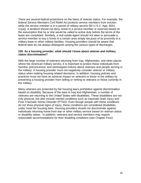There are several federal protections on the basis of veteran status. For example, the federal Service Members Civil Relief Act protects service members from eviction while the service member is in a period of military service [50 U.S.C. App. §531 (1)(a)]. A landlord should not deny rental to a service member or reservist based on the assumption that he or she would be called to active duty before the terms of the lease are completed. Similarly, a real estate agent should not steer or persuade a service member to buy a home in a certain area simply because of its proximity to a military base or other military families. Housing providers should be aware that federal laws do not always distinguish among the various types of discharges.

#### **100. As a housing provider, what should I know about veteran and military status discrimination?**

With the large number of veterans returning from Iraq, Afghanistan, and other places where the American military serves, it is important to protect these individuals from harmful, preconceived, and stereotyped notions about veterans and people serving in the military. A housing provider must not negatively consider veteran or military status when making housing-related decisions. In addition, housing policies and practices must not have an adverse impact on veterans or those in the military by preventing a housing provider from selling or renting to veterans or those currently in the military.

Many veterans are protected by fair housing law's prohibition against discrimination based on disability. Because of the wars in Iraq and Afghanistan, a number of veterans are returning to the United States with disabilities. These disabilities are not only physical, but also include mental conditions such as traumatic brain injury and Post-Traumatic Stress Disorder (PTSD). Even though people with these conditions do not show physical signs of injury, these conditions are considered disabilities under most fair housing laws. Housing providers should not discriminate against individuals returning home from war or other military service based on veteran status or disability status. In addition, veterans and service members may require reasonable accommodations for their disabling conditions (see Chapter Four).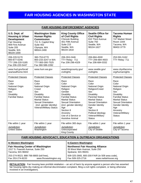# **FAIR HOUSING AGENCIES IN WASHINGTON STATE**

| FAIR HOUSING ENFORCEMENT AGENCIES                                                                                                               |                                                                                                                                                                                                             |                                                                                                                                                                                                                                                                          |                                                                                                                          |                                                                                                                                                                                                                                                                  |                                                                                                                                                                                                                                            |  |  |
|-------------------------------------------------------------------------------------------------------------------------------------------------|-------------------------------------------------------------------------------------------------------------------------------------------------------------------------------------------------------------|--------------------------------------------------------------------------------------------------------------------------------------------------------------------------------------------------------------------------------------------------------------------------|--------------------------------------------------------------------------------------------------------------------------|------------------------------------------------------------------------------------------------------------------------------------------------------------------------------------------------------------------------------------------------------------------|--------------------------------------------------------------------------------------------------------------------------------------------------------------------------------------------------------------------------------------------|--|--|
| U.S. Dept. of<br><b>Housing &amp; Urban</b><br><b>Development</b><br>Fair Housing<br>909 First Avenue<br>Suite 205<br>Seattle, WA<br>98104-1000 | <b>Washington State</b><br><b>Human Rights</b><br><b>Commission</b><br>711 S. Capitol Way<br>Suite 402<br>Olympia, WA<br>98504-2490                                                                         | Suite 215                                                                                                                                                                                                                                                                | <b>King County Office</b><br>of Civil Rights<br><b>Chinook Building</b><br>401 Fifth Avenue<br>Seattle, WA<br>98104-1818 | <b>Seattle Office for</b><br><b>Civil Rights</b><br>810 Third Avenue<br>Suite 750<br>Seattle, WA<br>98104-1627                                                                                                                                                   | <b>Tacoma Human</b><br><b>Rights</b><br>747 Market Street<br>Room 1044<br>Tacoma, WA<br>98402-3779                                                                                                                                         |  |  |
| 206-220-5170<br>800-877-0246<br>TTY 206-220-5185<br>Fax 206-220-5447                                                                            | 360-753-6770<br>800-233-3247 in WA<br>TTY 800-300-7525<br>Fax 360-586-2282                                                                                                                                  | 206-263-2446<br>TTY Relay: 711<br>Fax 206-296-4329                                                                                                                                                                                                                       |                                                                                                                          | 206-684-4500<br>TTY 206-684-4503<br>Fax 206-684-0332                                                                                                                                                                                                             | 253-591-5162<br>TTY Relay: 711                                                                                                                                                                                                             |  |  |
| www.hud.gov/local/<br>sea/seafhome.html                                                                                                         | www.hum.wa.gov                                                                                                                                                                                              | www/kingcounty.gov/<br>civilrights                                                                                                                                                                                                                                       |                                                                                                                          | www.seattle.gov/<br>civilrights                                                                                                                                                                                                                                  | www.cityoftacoma.<br>org/humanrights                                                                                                                                                                                                       |  |  |
| <b>Protected Classes</b>                                                                                                                        | <b>Protected Classes</b>                                                                                                                                                                                    | <b>Protected Classes</b>                                                                                                                                                                                                                                                 |                                                                                                                          | <b>Protected Classes</b>                                                                                                                                                                                                                                         | <b>Protected Classes</b>                                                                                                                                                                                                                   |  |  |
| Race<br>Color<br>National Origin<br>Religion<br>Sex<br><b>Disability</b><br><b>Familial Status</b>                                              | Race<br>Color<br>National Origin<br>Creed<br>Sex<br><b>Disability</b><br><b>Familial Status</b><br><b>Marital Status</b><br><b>Sexual Orientation</b><br>(incl. gender identity)<br>Veteran/Military Status | Race<br>Color<br>National Origin<br>Religion<br>Gender<br><b>Disability</b><br><b>Familial Status</b><br><b>Marital Status</b><br><b>Sexual Orientation</b><br>(incl. gender identity)<br>Age<br>Section 8<br>Ancestry<br>Use of a Service or<br><b>Assistive Animal</b> |                                                                                                                          | Race<br>Color<br>National Origin<br>Religion/Creed<br>Sex<br><b>Disability</b><br><b>Parental Status</b><br><b>Marital Status</b><br><b>Sexual Orientation</b><br>Gender Identity<br>Age<br>Section 8<br>Political Ideology<br>Veteran/Military<br><b>Status</b> | Race<br>Color<br><b>National Origin</b><br>Religion<br>Sex<br><b>Disability</b><br><b>Familial Status</b><br><b>Marital Status</b><br><b>Sexual Orientation</b><br>Gender Identity<br>Age<br>Ancestry<br>Veteran/Military<br><b>Status</b> |  |  |
| File within 1 year                                                                                                                              | File within 1 year                                                                                                                                                                                          |                                                                                                                                                                                                                                                                          | File within 365 days                                                                                                     | File within 1 year                                                                                                                                                                                                                                               | File within 1 year                                                                                                                                                                                                                         |  |  |
| Jurisdiction:<br><b>United States</b>                                                                                                           | Jurisdiction:<br>Washington                                                                                                                                                                                 | Jurisdiction:<br>Unincorporated<br><b>King County</b>                                                                                                                                                                                                                    |                                                                                                                          | Jurisdiction:<br>City of Seattle                                                                                                                                                                                                                                 | Jurisdiction:<br>City of Tacoma                                                                                                                                                                                                            |  |  |
| <b>FAIR HOUSING ADVOCACY, EDUCATION &amp; OUTREACH ORGANIZATIONS</b>                                                                            |                                                                                                                                                                                                             |                                                                                                                                                                                                                                                                          |                                                                                                                          |                                                                                                                                                                                                                                                                  |                                                                                                                                                                                                                                            |  |  |
| In Eastern Washington<br>In Western Washington                                                                                                  |                                                                                                                                                                                                             |                                                                                                                                                                                                                                                                          |                                                                                                                          |                                                                                                                                                                                                                                                                  |                                                                                                                                                                                                                                            |  |  |
| <b>Fair Housing Center of Washington</b><br>1517 S. Fawcett Avenue, Suite 250<br>Tacoma, WA 98402                                               |                                                                                                                                                                                                             |                                                                                                                                                                                                                                                                          | <b>Northwest Fair Housing Alliance</b><br>35 West Main Avenue, Suite 250<br>Spokane, WA 99201                            |                                                                                                                                                                                                                                                                  |                                                                                                                                                                                                                                            |  |  |

253-274-9523, 888-766-8800 (toll free), www.fhcwashington.org 509-325-2665, 800-200-FAIR (in 509 area code), www.nwfairhouse.org

**RETALIATION:** Fair housing laws prohibit retaliation – an act of harm by anyone against a person who has asserted fair housing rights (by making an informal discrimination complaint, filing a civil rights complaint, or being otherwise involved in an investigation).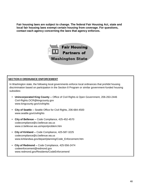**Fair housing laws are subject to change. The federal Fair Housing Act, state and local fair housing laws exempt certain housing from coverage. For questions, contact each agency concerning the laws that agency enforces.** 



#### **SECTION 8 ORDINANCE ENFORCEMENT**

In Washington state, the following local governments enforce local ordinances that prohibit housing discrimination based on participation in the Section 8 Program or similar government-funded housing subsidies:

- **Unincorporated King County --** Office of Civil Rights & Open Government, 206-263-2446 Civil-Rights.OCR@kingcounty.gov www.kingcounty.gov/civilrights
- **City of Seattle --** Seattle Office for Civil Rights, 206-684-4500 www.seattle.gov/civilrights
- **City of Bellevue --** Code Compliance, 425-452-4570 [codecompliance@ci.bellevue.wa.us](mailto:codecompliance@ci.bellevue.wa.us) [www.ci.bellevue.wa.us/reportproblem.htm](http://www.ci.bellevue.wa.us/reportproblem.htm)
- **City of Kirkland --** Code Compliance, 425-587-3225 [codecompliance@ci.bellevue.wa.us](mailto:codecompliance@ci.bellevue.wa.us) [www.kirklandwa.gov/depart/planning/Code\\_Enforcement.htm](http://www.kirklandwa.gov/depart/planning/Code_Enforcement.htm)
- **City of Redmond --** Code Compliance, 425-556-2474 [codeenforcement@redmond.gov](mailto:codeenforcement@redmond.gov) [www.redmond.gov/Residents/CodeEnforcement/](http://www.redmond.gov/Residents/CodeEnforcement/)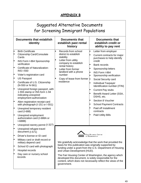# **APPENDIX B**

|                                                     | Suggested Alternative Documents<br>for Screening Immigrant Populations                                                                                                                                                                                                                                                                                                                                                                                                                                                                                                                                                                        |                                                                                                                                                                                                                               |                                                                                                                                                                                                                                                                                                                                                                                                                                                                                            |  |  |  |  |  |
|-----------------------------------------------------|-----------------------------------------------------------------------------------------------------------------------------------------------------------------------------------------------------------------------------------------------------------------------------------------------------------------------------------------------------------------------------------------------------------------------------------------------------------------------------------------------------------------------------------------------------------------------------------------------------------------------------------------------|-------------------------------------------------------------------------------------------------------------------------------------------------------------------------------------------------------------------------------|--------------------------------------------------------------------------------------------------------------------------------------------------------------------------------------------------------------------------------------------------------------------------------------------------------------------------------------------------------------------------------------------------------------------------------------------------------------------------------------------|--|--|--|--|--|
|                                                     | <b>Documents that establish</b><br>identity                                                                                                                                                                                                                                                                                                                                                                                                                                                                                                                                                                                                   | <b>Documents that</b><br>establish past rental<br>history                                                                                                                                                                     | <b>Documents that</b><br>establish credit or<br>ability to pay rent                                                                                                                                                                                                                                                                                                                                                                                                                        |  |  |  |  |  |
| E<br>F<br>E<br>E<br>E<br>Þ<br>E<br>Þ<br>E<br>E<br>Þ | <b>Birth Certificate</b><br><b>Citizenship Card/Consulate</b><br>Cards<br>INS Form I-864 Sponsorship<br>verification<br>Certificate of Naturalization:<br><b>INS I-550</b><br>Voter's registration card<br><b>US Passport</b><br>Certificate of U.S. Citizenship<br>(N-550 or N-561)<br>Unexpired foreign passport, with<br>1-555 stamp or INS form 1-94<br>indicating unexpired<br>employment authorization<br>Alien registration receipt card<br>with photograph (I-151 or I-551)<br>Unexpired temporary resident<br>card (I-688)<br>Unexpired employment<br>authorization card (I-688A or<br>$I-688B)$<br>Unexpired reentry permit (I-327) | Records from school<br>district to establish<br>stability<br>Letter from utility<br>company to establish<br>rental history<br>Letter from former<br>landlord with a phone<br>number<br>Copy of lease from former<br>residence | Ξ<br>Letter from employer<br>Current contracts for major<br>purchases to help identify<br>credit<br><b>Bank records</b><br>Sponsorship letters<br>INS Form I-864<br>Sponsorship verification<br>ŀш<br>Social Security card<br><b>Individual Taxpayer</b><br>Identification number (ITIN)<br><b>Current Pay stubs</b><br>Benefit Award Letter (SSA,<br>DSHS, etc.<br>Section 8 Voucher<br><b>School Payment Contracts</b><br>Paid off Installment<br>contracts<br><b>Paid Utility Bills</b> |  |  |  |  |  |
| E<br>E<br>E<br>E<br>E<br>Е                          | Unexpired refugee travel<br>document (I-571)<br>Driver's license or ID card<br>Military card or draft record or<br>military depend card<br>School ID card with photograph<br>Hospital records<br>Day care or nursery school<br>records                                                                                                                                                                                                                                                                                                                                                                                                        | basis for this publication was originally supported by<br>and Urban Development (HUD).<br>developed this document, is solely responsible for the<br>government.                                                               | IR HOUSING CENTER<br>of Washington<br>We gratefully acknowledge that the work that provided the<br>funding under a grant from the U.S. Department of Housing<br>The Fair Housing Center of Washington, the agency which<br>content, which does not necessarily reflect the views of the                                                                                                                                                                                                    |  |  |  |  |  |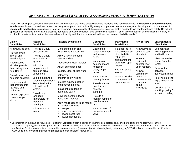# **APPENDIX C – COMMON DISABILITY ACCOMMODATIONS & MODIFICATIONS**

Under fair housing laws, housing providers must accommodate the needs of applicants and residents who have disabilities. A **reasonable accommodation** is an adjustment in rules, procedures or services that gives a person with a disability an equal opportunity to use and enjoy their housing and common areas. A **reasonable modification** is a change in housing or common areas (usually at the resident's expense) that is needed to live comfortably and safely. Do not ask applicants or residents if they have a disability, for details about the condition, or to see medical records. For an accommodation or modification, it is okay to ask for third-party verification that the person has a disability and that the request will address the person's disability needs. \*

| <b>Vision</b><br><b>Disabilities</b>                                                                                                                                                                                                                                                                                             | <b>Hearing</b><br><b>Disabilities</b>                                                                                                                                                                                                                                                                                                                           | <b>Physical Disabilities</b>                                                                                                                                                                                                                                                                                                                                                                                                                                                                                                                | Cognitive<br><b>Disabilities</b>                                                                                                                                                                                                                                                                                                                | <b>Psychiatric</b><br><b>Disabilities</b>                                                                                                                                                                         | <b>HIV or AIDS</b>                                                                                                                                                                                 | <b>Environmental</b><br><b>Disabilities</b>                                                                                                                                                                                                                                   |
|----------------------------------------------------------------------------------------------------------------------------------------------------------------------------------------------------------------------------------------------------------------------------------------------------------------------------------|-----------------------------------------------------------------------------------------------------------------------------------------------------------------------------------------------------------------------------------------------------------------------------------------------------------------------------------------------------------------|---------------------------------------------------------------------------------------------------------------------------------------------------------------------------------------------------------------------------------------------------------------------------------------------------------------------------------------------------------------------------------------------------------------------------------------------------------------------------------------------------------------------------------------------|-------------------------------------------------------------------------------------------------------------------------------------------------------------------------------------------------------------------------------------------------------------------------------------------------------------------------------------------------|-------------------------------------------------------------------------------------------------------------------------------------------------------------------------------------------------------------------|----------------------------------------------------------------------------------------------------------------------------------------------------------------------------------------------------|-------------------------------------------------------------------------------------------------------------------------------------------------------------------------------------------------------------------------------------------------------------------------------|
| Allow a guide dog.<br>Provide ample<br>interior and<br>exterior lighting.<br>Read notices<br>aloud or provide<br>them in large print<br>or in Braille.<br>Provide large print<br>numbers on doors.<br>Remove objects<br>that protrude into<br>hallways and<br>pathways.<br>Put non-slip, color-<br>contrast strips on<br>stairs. | Provide a visual<br>doorbell signal.<br>Provide a visual<br>smoke alarm<br>system.<br>Add voice<br>amplification to<br>common area<br>telephones.<br>Use the statewide<br><b>Telecommunications</b><br>Relay Service for<br>calls with deaf<br>renters.<br>Provide sign<br>language<br>interpreters for<br>important<br>meetings.<br>Allow a service<br>animal. | Make sure the on-site<br>rental office is accessible.<br>Allow a live-in personal<br>care attendant.<br>Provide lever door handles.<br>Adjust automatic door<br>closers. Clear shrubs from<br>pathways<br>and trim to low height.<br>Insulate exposed kitchen<br>and bathroom pipes.<br>Install anti-skid tape on<br>floors and stairs.<br>Move resident to a lower<br>floor, upon request.<br>Allow modifications to be made:<br>wider doorways<br>٠<br>ramps<br>٠<br>grab bar installation<br>lower closet rods<br>lower thermostat.<br>٠ | Explain the<br>rental agreement<br>and tenancy<br>rules.<br>Write rental<br>documents and<br>notices in<br>clear, simple<br>terms.<br>Show how to<br>use appliances.<br>Provide simple<br>door locks or<br>security<br>systems.<br>Provide a<br>monthly reminder<br>that the rent is<br>due.<br>Show location of<br>the water shutoff<br>valve. | If a deadline is<br>missed because<br>of a disability,<br>return the<br>applicant to the<br>waiting list upon<br>request.<br>Allow a service<br>animal.<br>Move a resident<br>to a quieter unit,<br>upon request. | Allow a live-in<br>personal care<br>attendant.<br>Move a<br>resident to<br>another floor,<br>upon request.<br>Allow a<br>community<br>person to<br>come educate<br>residents<br>about<br>HIV/AIDS. | Use non-toxic<br>cleaning products<br>and fertilizers.<br>Allow removal of<br>carpet from the<br>rental.<br>Remove the<br>ballast or<br>fluorescent lights.<br>Post "no smoking"<br>signs in common<br>areas.<br>Consider a "no<br>smoking" policy for<br>an entire building. |

\* Documentation that can be requested – a letter of verification from a doctor or other medical professional, or other qualified third party who, in their professional capacity, has knowledge about the person's disability and/or the need for reasonable accommodation. For more information, see the joint HUD and Dept. of Justice statements on reasonable accommodations (www.usdoj.gov/crt/housing/joint statement ra 5-17-04.pdf) and reasonable modifications [\(www.usdoj.gov/crt/housing/fairhousing/reasonable\\_modifications\\_mar08.pdf\).](http://www.usdoj.gov/crt/housing/fairhousing/reasonable_modifications_mar08.pdf))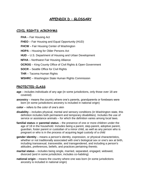### **APPENDIX D – GLOSSARY**

#### **CIVIL RIGHTS ACRONYMS**

**FHA** – Fair Housing Act

- **FHEO** Fair Housing and Equal Opportunity (HUD)
- **FHCW** Fair Housing Center of Washington
- **HOPA**  Housing for Older Persons Act
- **HUD**  U.S. Department of Housing and Urban Development
- **NFHA**  Northwest Fair Housing Alliance
- **OCROG** King County Office of Civil Rights & Open Government
- **SOCR**  Seattle Office for Civil Rights
- **THR**  Tacoma Human Rights
- **WSHRC**  Washington State Human Rights Commission

#### **PROTECTED CLASS**

- **age**  includes individuals of any age (in some jurisdictions, only those over 18 are covered)
- **ancestry** means the country where one's parents, grandparents or forebears were born (in some jurisdictions ancestry is included in national origin)
- **color**  refers to the color of one's skin
- **disability** includes physical, mental and sensory conditions (in Washington state, this definition includes both permanent and temporary disabilities). Includes the use of service or assistance animals – for which the definition varies among local laws.
- **familial status** or **parental status**  the presence of one or more children under the age of 18 in the household. Includes being a parent, step-parent, adoptive parent, guardian, foster parent or custodian of a minor child, as well as any person who is pregnant or who is in the process of acquiring legal custody of a child
- **gender identity** means a person's identity, expression, or physical characteristics, whether or not traditionally associated with one's biological sex or one's sex at birth, including transsexual, transvestite, and transgendered, and including a person's attitudes, preferences, beliefs, and practices pertaining thereto.
- **marital status** includes being single, married, separated, engaged, widowed, divorced (and in some jurisdiction, includes co-habiting)
- **national origin** means the country where one was born (in some jurisdictions ancestry is included in national origin)